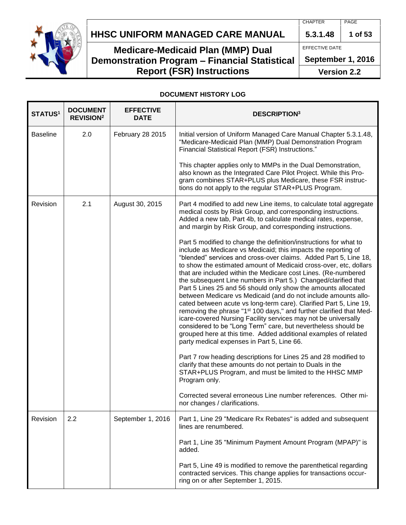

## **HHSC UNIFORM MANAGED CARE MANUAL 5.3.1.48 1 of 53**

## **Medicare-Medicaid Plan (MMP) Dual Demonstration Program – Financial Statistical Report (FSR) Instructions**

EFFECTIVE DATE

**September 1, 2016**

**Version 2.2**

#### **DOCUMENT HISTORY LOG**

| STATUS <sup>1</sup> | <b>DOCUMENT</b><br><b>REVISION<sup>2</sup></b> | <b>EFFECTIVE</b><br><b>DATE</b> | <b>DESCRIPTION3</b>                                                                                                                                                                                                                                                                                                                                                                                                                                                                                                                                                                                                                                                                                                                                                                                                                                                                                                                                              |
|---------------------|------------------------------------------------|---------------------------------|------------------------------------------------------------------------------------------------------------------------------------------------------------------------------------------------------------------------------------------------------------------------------------------------------------------------------------------------------------------------------------------------------------------------------------------------------------------------------------------------------------------------------------------------------------------------------------------------------------------------------------------------------------------------------------------------------------------------------------------------------------------------------------------------------------------------------------------------------------------------------------------------------------------------------------------------------------------|
| <b>Baseline</b>     | 2.0                                            | <b>February 28 2015</b>         | Initial version of Uniform Managed Care Manual Chapter 5.3.1.48,<br>"Medicare-Medicaid Plan (MMP) Dual Demonstration Program<br>Financial Statistical Report (FSR) Instructions."                                                                                                                                                                                                                                                                                                                                                                                                                                                                                                                                                                                                                                                                                                                                                                                |
|                     |                                                |                                 | This chapter applies only to MMPs in the Dual Demonstration,<br>also known as the Integrated Care Pilot Project. While this Pro-<br>gram combines STAR+PLUS plus Medicare, these FSR instruc-<br>tions do not apply to the regular STAR+PLUS Program.                                                                                                                                                                                                                                                                                                                                                                                                                                                                                                                                                                                                                                                                                                            |
| Revision            | 2.1                                            | August 30, 2015                 | Part 4 modified to add new Line items, to calculate total aggregate<br>medical costs by Risk Group, and corresponding instructions.<br>Added a new tab, Part 4b, to calculate medical rates, expense,<br>and margin by Risk Group, and corresponding instructions.                                                                                                                                                                                                                                                                                                                                                                                                                                                                                                                                                                                                                                                                                               |
|                     |                                                |                                 | Part 5 modified to change the definition/instructions for what to<br>include as Medicare vs Medicaid; this impacts the reporting of<br>"blended" services and cross-over claims. Added Part 5, Line 18,<br>to show the estimated amount of Medicaid cross-over, etc, dollars<br>that are included within the Medicare cost Lines. (Re-numbered<br>the subsequent Line numbers in Part 5.) Changed/clarified that<br>Part 5 Lines 25 and 56 should only show the amounts allocated<br>between Medicare vs Medicaid (and do not include amounts allo-<br>cated between acute vs long-term care). Clarified Part 5, Line 19,<br>removing the phrase "1 <sup>st</sup> 100 days," and further clarified that Med-<br>icare-covered Nursing Facility services may not be universally<br>considered to be "Long Term" care, but nevertheless should be<br>grouped here at this time. Added additional examples of related<br>party medical expenses in Part 5, Line 66. |
|                     |                                                |                                 | Part 7 row heading descriptions for Lines 25 and 28 modified to<br>clarify that these amounts do not pertain to Duals in the<br>STAR+PLUS Program, and must be limited to the HHSC MMP<br>Program only.                                                                                                                                                                                                                                                                                                                                                                                                                                                                                                                                                                                                                                                                                                                                                          |
|                     |                                                |                                 | Corrected several erroneous Line number references. Other mi-<br>nor changes / clarifications.                                                                                                                                                                                                                                                                                                                                                                                                                                                                                                                                                                                                                                                                                                                                                                                                                                                                   |
| Revision            | 2.2                                            | September 1, 2016               | Part 1, Line 29 "Medicare Rx Rebates" is added and subsequent<br>lines are renumbered.                                                                                                                                                                                                                                                                                                                                                                                                                                                                                                                                                                                                                                                                                                                                                                                                                                                                           |
|                     |                                                |                                 | Part 1, Line 35 "Minimum Payment Amount Program (MPAP)" is<br>added.                                                                                                                                                                                                                                                                                                                                                                                                                                                                                                                                                                                                                                                                                                                                                                                                                                                                                             |
|                     |                                                |                                 | Part 5, Line 49 is modified to remove the parenthetical regarding<br>contracted services. This change applies for transactions occur-<br>ring on or after September 1, 2015.                                                                                                                                                                                                                                                                                                                                                                                                                                                                                                                                                                                                                                                                                                                                                                                     |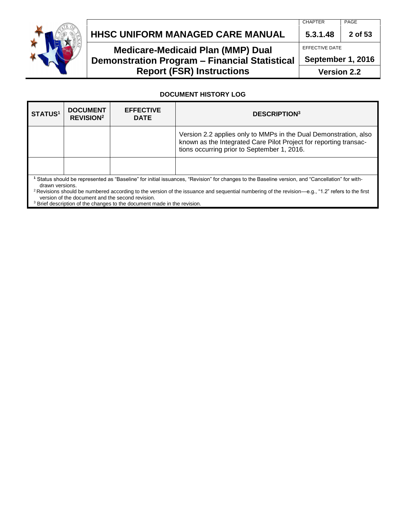

## **HHSC UNIFORM MANAGED CARE MANUAL 5.3.1.48 2 of 53**

## **Medicare-Medicaid Plan (MMP) Dual Demonstration Program – Financial Statistical Report (FSR) Instructions**

EFFECTIVE DATE

**September 1, 2016**

**Version 2.2**

#### **DOCUMENT HISTORY LOG**

| <b>STATUS1</b>                                                                                                                                                                                                                                                                                                                                                                       | <b>DOCUMENT</b><br><b>REVISION<sup>2</sup></b> | <b>EFFECTIVE</b><br><b>DATE</b> | <b>DESCRIPTION3</b>                                                                                                                                                                  |
|--------------------------------------------------------------------------------------------------------------------------------------------------------------------------------------------------------------------------------------------------------------------------------------------------------------------------------------------------------------------------------------|------------------------------------------------|---------------------------------|--------------------------------------------------------------------------------------------------------------------------------------------------------------------------------------|
|                                                                                                                                                                                                                                                                                                                                                                                      |                                                |                                 | Version 2.2 applies only to MMPs in the Dual Demonstration, also<br>known as the Integrated Care Pilot Project for reporting transac-<br>tions occurring prior to September 1, 2016. |
|                                                                                                                                                                                                                                                                                                                                                                                      |                                                |                                 |                                                                                                                                                                                      |
| Status should be represented as "Baseline" for initial issuances, "Revision" for changes to the Baseline version, and "Cancellation" for with-<br>drawn versions.<br><sup>2</sup> Revisions should be numbered according to the version of the issuance and sequential numbering of the revision—e.g., "1.2" refers to the first<br>version of the document and the second revision. |                                                |                                 |                                                                                                                                                                                      |

 $3$  Brief description of the changes to the document made in the revision.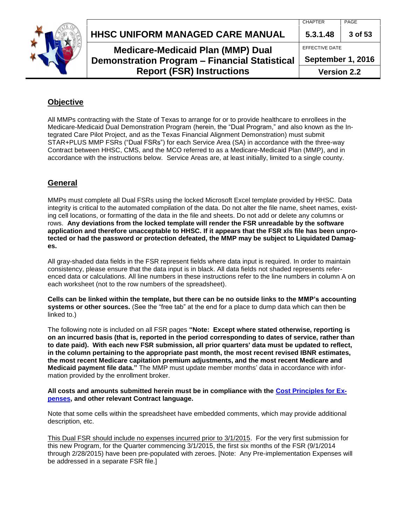





## **Medicare-Medicaid Plan (MMP) Dual Demonstration Program – Financial Statistical Report (FSR) Instructions**

**Version 2.2**

### **Objective**

All MMPs contracting with the State of Texas to arrange for or to provide healthcare to enrollees in the Medicare-Medicaid Dual Demonstration Program (herein, the "Dual Program," and also known as the Integrated Care Pilot Project, and as the Texas Financial Alignment Demonstration) must submit STAR+PLUS MMP FSRs ("Dual FSRs") for each Service Area (SA) in accordance with the three-way Contract between HHSC, CMS, and the MCO referred to as a Medicare-Medicaid Plan (MMP), and in accordance with the instructions below. Service Areas are, at least initially, limited to a single county.

## **General**

MMPs must complete all Dual FSRs using the locked Microsoft Excel template provided by HHSC. Data integrity is critical to the automated compilation of the data. Do not alter the file name, sheet names, existing cell locations, or formatting of the data in the file and sheets. Do not add or delete any columns or rows. **Any deviations from the locked template will render the FSR unreadable by the software application and therefore unacceptable to HHSC. If it appears that the FSR xls file has been unprotected or had the password or protection defeated, the MMP may be subject to Liquidated Damages.**

All gray-shaded data fields in the FSR represent fields where data input is required. In order to maintain consistency, please ensure that the data input is in black. All data fields not shaded represents referenced data or calculations. All line numbers in these instructions refer to the line numbers in column A on each worksheet (not to the row numbers of the spreadsheet).

**Cells can be linked within the template, but there can be no outside links to the MMP's accounting systems or other sources.** (See the "free tab" at the end for a place to dump data which can then be linked to.)

The following note is included on all FSR pages **"Note: Except where stated otherwise, reporting is on an incurred basis (that is, reported in the period corresponding to dates of service, rather than to date paid). With each new FSR submission, all prior quarters' data must be updated to reflect, in the column pertaining to the appropriate past month, the most recent revised IBNR estimates, the most recent Medicare capitation premium adjustments, and the most recent Medicare and Medicaid payment file data."** The MMP must update member months' data in accordance with information provided by the enrollment broker.

#### **All costs and amounts submitted herein must be in compliance with the [Cost Principles for Ex](http://www.hhsc.state.tx.us/medicaid/managed-care/umcm/Chp6/6-1.pdf)[penses,](http://www.hhsc.state.tx.us/medicaid/managed-care/umcm/Chp6/6-1.pdf) and other relevant Contract language.**

Note that some cells within the spreadsheet have embedded comments, which may provide additional description, etc.

This Dual FSR should include no expenses incurred prior to 3/1/2015. For the very first submission for this new Program, for the Quarter commencing 3/1/2015, the first six months of the FSR (9/1/2014 through 2/28/2015) have been pre-populated with zeroes. [Note: Any Pre-implementation Expenses will be addressed in a separate FSR file.]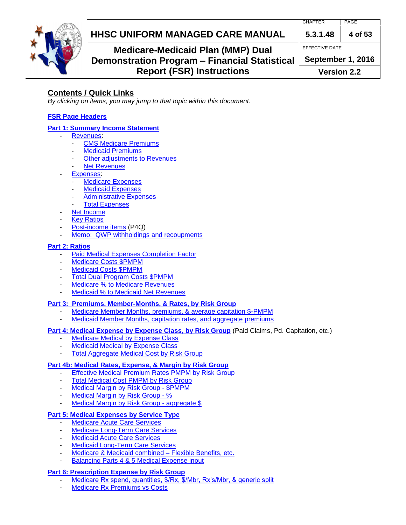

## **HHSC UNIFORM MANAGED CARE MANUAL 5.3.1.48 4 of 53**

EFFECTIVE DATE

## **Medicare-Medicaid Plan (MMP) Dual Demonstration Program – Financial Statistical Report (FSR) Instructions**

**September 1, 2016**

**Version 2.2**

## **Contents / Quick Links**

*By clicking on items, you may jump to that topic within this document.*

### **[FSR Page Headers](#page-5-0)**

### **[Part 1: Summary Income Statement](#page-5-1)**

- [Revenues:](#page-5-2)
	- **[CMS Medicare Premiums](#page-5-3)**
	- **[Medicaid Premiums](#page-6-0)**
	- [Other adjustments to Revenues](#page-7-0)
	- **[Net Revenues](#page-8-0)**
- [Expenses:](#page-8-1)
	- [Medicare Expenses](#page-8-2)
	- **[Medicaid Expenses](#page-8-3)**
	- [Administrative Expenses](#page-9-0)
- **[Total Expenses](#page-9-1)**
- [Net Income](#page-9-2)
- **[Key Ratios](#page-10-0)**
- Post-income items (P4Q)
- [Memo: QWP withholdings and recoupments](#page-10-1)

### **[Part 2: Ratios](#page-11-0)**

- [Paid Medical Expenses Completion Factor](#page-12-0)
- [Medicare Costs](#page-12-1) \$PMPM
- [Medicaid Costs](#page-13-0) \$PMPM
- [Total Dual Program Costs \\$PMPM](#page-13-1)
- [Medicare % to Medicare Revenues](#page-14-0)
- [Medicaid % to Medicaid Net Revenues](#page-15-0)

### **[Part 3: Premiums, Member-Months, & Rates, by Risk Group](#page-16-0)**

- [Medicare Member Months, premiums, & average capitation \\$-PMPM](#page-16-1)
- [Medicaid Member Months, capitation rates, and aggregate premiums](#page-17-0)

#### **[Part 4: Medical Expense by Expense Class, by Risk Group](#page-18-0)** (Paid Claims, Pd. Capitation, etc.)

- [Medicare Medical by Expense Class](#page-18-1)
- [Medicaid Medical by Expense Class](#page-20-0)
- [Total Aggregate Medical Cost by Risk Group](#page-22-0)

### **[Part 4b: Medical Rates, Expense, & Margin by Risk Group](#page-23-0)**

- [Effective Medical Premium Rates PMPM by Risk Group](#page-23-1)
- [Total Medical Cost PMPM by Risk Group](#page-25-0)
- [Medical Margin by Risk Group -](#page-26-0) \$PMPM
- [Medical Margin by Risk Group -](#page-27-0) %
- [Medical Margin by Risk Group -](#page-28-0) aggregate \$

## **[Part 5: Medical Expenses by Service Type](#page-29-0)**

- [Medicare Acute Care Services](#page-29-1)
- [Medicare Long-Term Care Services](#page-33-0)
- [Medicaid Acute Care Services](#page-35-0)
- [Medicaid Long-Term Care Services](#page-39-0)
- [Medicare & Medicaid combined](#page-40-0) Flexible Benefits, etc.
- [Balancing Parts 4 & 5 Medical Expense input](#page-42-0)

## **[Part 6: Prescription Expense by Risk Group](#page-43-0)**

- [Medicare Rx spend, quantities, \\$/Rx, \\$/Mbr, Rx's/Mbr, & generic split](#page-43-1)
- [Medicare Rx Premiums vs Costs](#page-45-0)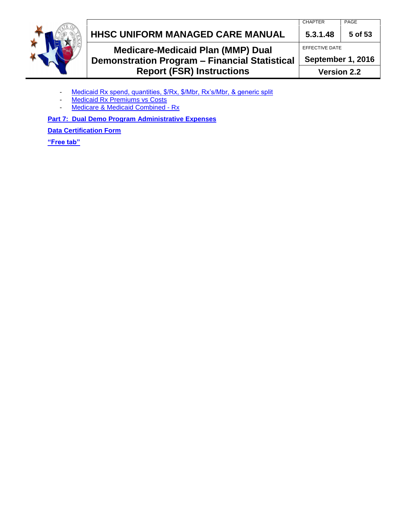

## **HHSC UNIFORM MANAGED CARE MANUAL 5.3.1.48 5 of 53**

**Medicare-Medicaid Plan (MMP) Dual Demonstration Program – Financial Statistical Report (FSR) Instructions**

EFFECTIVE DATE

**September 1, 2016**

**Version 2.2**

- [Medicaid Rx spend, quantities, \\$/Rx, \\$/Mbr, Rx's/Mbr, & generic split](#page-45-1)
- [Medicaid Rx Premiums vs Costs](#page-47-0)
- [Medicare & Medicaid Combined -](#page-48-0) Rx

**[Part 7: Dual Demo Program Administrative Expenses](#page-48-1)**

**[Data Certification Form](#page-51-0)**

**["Free tab"](#page-52-0)**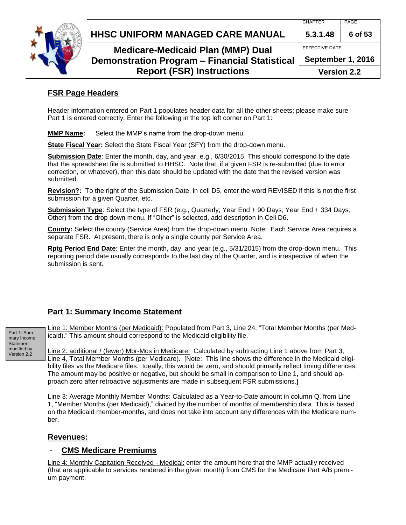

### **HHSC UNIFORM MANAGED CARE MANUAL 5.3.1.48 6 of 53**

**Medicare-Medicaid Plan (MMP) Dual Demonstration Program – Financial Statistical Report (FSR) Instructions**

EFFECTIVE DATE

**September 1, 2016**

**Version 2.2**

### <span id="page-5-0"></span>**FSR Page Headers**

Header information entered on Part 1 populates header data for all the other sheets; please make sure Part 1 is entered correctly. Enter the following in the top left corner on Part 1:

**MMP Name:** Select the MMP's name from the drop-down menu.

**State Fiscal Year:** Select the State Fiscal Year (SFY) from the drop-down menu.

**Submission Date**: Enter the month, day, and year, e.g., 6/30/2015. This should correspond to the date that the spreadsheet file is submitted to HHSC. Note that, if a given FSR is re-submitted (due to error correction, or whatever), then this date should be updated with the date that the revised version was submitted.

**Revision?:** To the right of the Submission Date, in cell D5, enter the word REVISED if this is not the first submission for a given Quarter, etc.

**Submission Type**: Select the type of FSR (e.g., Quarterly; Year End + 90 Days; Year End + 334 Days; Other) from the drop down menu. If "Other" is selected, add description in Cell D6.

**County:** Select the county (Service Area) from the drop-down menu. Note: Each Service Area requires a separate FSR. At present, there is only a single county per Service Area.

**Rptg Period End Date**: Enter the month, day, and year (e.g., 5/31/2015) from the drop-down menu. This reporting period date usually corresponds to the last day of the Quarter, and is irrespective of when the submission is sent.

### <span id="page-5-1"></span>**Part 1: Summary Income Statement**

Line 1: Member Months (per Medicaid): Populated from Part 3, Line 24, "Total Member Months (per Medicaid)." This amount should correspond to the Medicaid eligibility file.

Line 2: additional / (fewer) Mbr-Mos in Medicare: Calculated by subtracting Line 1 above from Part 3, Line 4, Total Member Months (per Medicare). [Note: This line shows the difference in the Medicaid eligibility files vs the Medicare files. Ideally, this would be zero, and should primarily reflect timing differences. The amount may be positive or negative, but should be small in comparison to Line 1, and should approach zero after retroactive adjustments are made in subsequent FSR submissions.]

Line 3: Average Monthly Member Months: Calculated as a Year-to-Date amount in column Q, from Line 1, "Member Months (per Medicaid)," divided by the number of months of membership data. This is based on the Medicaid member-months, and does not take into account any differences with the Medicare number.

#### <span id="page-5-2"></span>**Revenues:**

#### <span id="page-5-3"></span>- **CMS Medicare Premiums**

Line 4: Monthly Capitation Received - Medical: enter the amount here that the MMP actually received (that are applicable to services rendered in the given month) from CMS for the Medicare Part A/B premium payment.

Part 1: Summary Income **Statement** modified by Version 2.2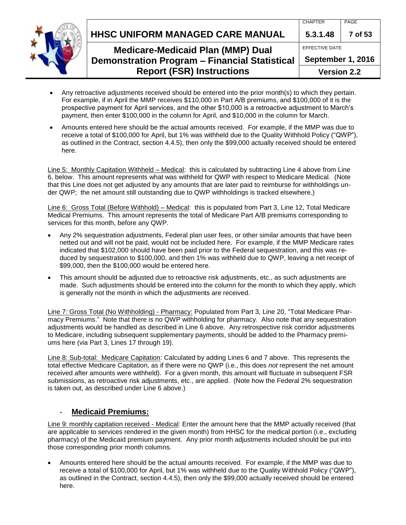**HHSC UNIFORM MANAGED CARE MANUAL 5.3.1.48 7 of 53**

## **Medicare-Medicaid Plan (MMP) Dual Demonstration Program – Financial Statistical Report (FSR) Instructions**

| <b>Version 2.2</b> |         |
|--------------------|---------|
| September 1, 2016  |         |
| EFFECTIVE DATE     |         |
| 5.3.1.48           | 7 of 53 |
| <b>CHAPTER</b>     | PAGE    |
|                    |         |

- Any retroactive adjustments received should be entered into the prior month(s) to which they pertain. For example, if in April the MMP receives \$110,000 in Part A/B premiums, and \$100,000 of it is the prospective payment for April services, and the other \$10,000 is a retroactive adjustment to March's payment, then enter \$100,000 in the column for April, and \$10,000 in the column for March.
- Amounts entered here should be the actual amounts received. For example, if the MMP was due to receive a total of \$100,000 for April, but 1% was withheld due to the Quality Withhold Policy ("QWP"), as outlined in the Contract, section 4.4.5), then only the \$99,000 actually received should be entered here.

Line 5: Monthly Capitation Withheld – Medical: this is calculated by subtracting Line 4 above from Line 6, below. This amount represents what was withheld for QWP with respect to Medicare Medical. (Note that this Line does not get adjusted by any amounts that are later paid to reimburse for withholdings under QWP; the net amount still outstanding due to QWP withholdings is tracked elsewhere.)

Line 6: Gross Total (Before Withhold) – Medical: this is populated from Part 3, Line 12, Total Medicare Medical Premiums. This amount represents the total of Medicare Part A/B premiums corresponding to services for this month, before any QWP.

- Any 2% sequestration adjustments, Federal plan user fees, or other similar amounts that have been netted out and will not be paid, would not be included here. For example, if the MMP Medicare rates indicated that \$102,000 should have been paid prior to the Federal sequestration, and this was reduced by sequestration to \$100,000, and then 1% was withheld due to QWP, leaving a net receipt of \$99,000, then the \$100,000 would be entered here.
- This amount should be adjusted due to retroactive risk adjustments, etc., as such adjustments are made. Such adjustments should be entered into the column for the month to which they apply, which is generally not the month in which the adjustments are received.

Line 7: Gross Total (No Withholding) - Pharmacy: Populated from Part 3, Line 20, "Total Medicare Pharmacy Premiums." Note that there is no QWP withholding for pharmacy. Also note that any sequestration adjustments would be handled as described in Line 6 above. Any retrospective risk corridor adjustments to Medicare, including subsequent supplementary payments, should be added to the Pharmacy premiums here (via Part 3, Lines 17 through 19).

Line 8: Sub-total: Medicare Capitation: Calculated by adding Lines 6 and 7 above. This represents the total effective Medicare Capitation, as if there were no QWP (i.e., this does *not* represent the net amount received after amounts were withheld). For a given month, this amount will fluctuate in subsequent FSR submissions, as retroactive risk adjustments, etc., are applied. (Note how the Federal 2% sequestration is taken out, as described under Line 6 above.)

### - **Medicaid Premiums:**

<span id="page-6-0"></span>Line 9: monthly capitation received - Medical: Enter the amount here that the MMP actually received (that are applicable to services rendered in the given month) from HHSC for the medical portion (i.e., excluding pharmacy) of the Medicaid premium payment. Any prior month adjustments included should be put into those corresponding prior month columns.

 Amounts entered here should be the actual amounts received. For example, if the MMP was due to receive a total of \$100,000 for April, but 1% was withheld due to the Quality Withhold Policy ("QWP"), as outlined in the Contract, section 4.4.5), then only the \$99,000 actually received should be entered here.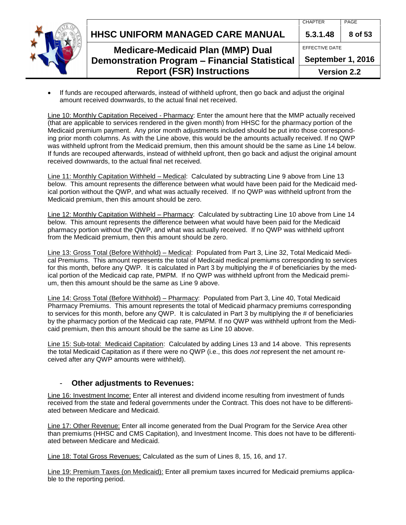

 If funds are recouped afterwards, instead of withheld upfront, then go back and adjust the original amount received downwards, to the actual final net received.

Line 10: Monthly Capitation Received - Pharmacy: Enter the amount here that the MMP actually received (that are applicable to services rendered in the given month) from HHSC for the pharmacy portion of the Medicaid premium payment. Any prior month adjustments included should be put into those corresponding prior month columns. As with the Line above, this would be the amounts actually received. If no QWP was withheld upfront from the Medicaid premium, then this amount should be the same as Line 14 below. If funds are recouped afterwards, instead of withheld upfront, then go back and adjust the original amount received downwards, to the actual final net received.

Line 11: Monthly Capitation Withheld – Medical: Calculated by subtracting Line 9 above from Line 13 below. This amount represents the difference between what would have been paid for the Medicaid medical portion without the QWP, and what was actually received. If no QWP was withheld upfront from the Medicaid premium, then this amount should be zero.

Line 12: Monthly Capitation Withheld – Pharmacy: Calculated by subtracting Line 10 above from Line 14 below. This amount represents the difference between what would have been paid for the Medicaid pharmacy portion without the QWP, and what was actually received. If no QWP was withheld upfront from the Medicaid premium, then this amount should be zero.

Line 13: Gross Total (Before Withhold) – Medical: Populated from Part 3, Line 32, Total Medicaid Medical Premiums. This amount represents the total of Medicaid medical premiums corresponding to services for this month, before any QWP. It is calculated in Part 3 by multiplying the # of beneficiaries by the medical portion of the Medicaid cap rate, PMPM. If no QWP was withheld upfront from the Medicaid premium, then this amount should be the same as Line 9 above.

Line 14: Gross Total (Before Withhold) – Pharmacy: Populated from Part 3, Line 40, Total Medicaid Pharmacy Premiums. This amount represents the total of Medicaid pharmacy premiums corresponding to services for this month, before any QWP. It is calculated in Part 3 by multiplying the # of beneficiaries by the pharmacy portion of the Medicaid cap rate, PMPM. If no QWP was withheld upfront from the Medicaid premium, then this amount should be the same as Line 10 above.

Line 15: Sub-total: Medicaid Capitation: Calculated by adding Lines 13 and 14 above. This represents the total Medicaid Capitation as if there were no QWP (i.e., this does *not* represent the net amount received after any QWP amounts were withheld).

#### **Other adjustments to Revenues:**

<span id="page-7-0"></span>Line 16: Investment Income: Enter all interest and dividend income resulting from investment of funds received from the state and federal governments under the Contract. This does not have to be differentiated between Medicare and Medicaid.

Line 17: Other Revenue: Enter all income generated from the Dual Program for the Service Area other than premiums (HHSC and CMS Capitation), and Investment Income. This does not have to be differentiated between Medicare and Medicaid.

Line 18: Total Gross Revenues: Calculated as the sum of Lines 8, 15, 16, and 17.

Line 19: Premium Taxes (on Medicaid): Enter all premium taxes incurred for Medicaid premiums applicable to the reporting period.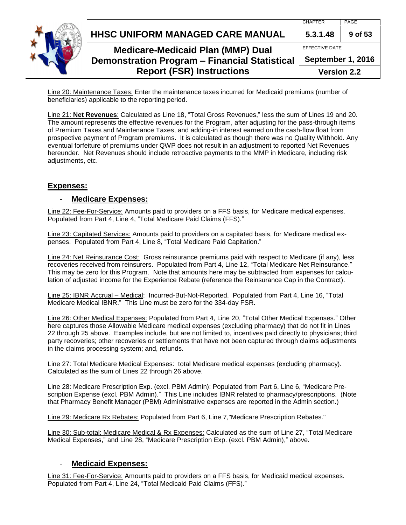|  | HHSC UNIFORM MANAGED CARE MANUAL                                                                 | <b>CHAPTER</b><br>5.3.1.48 | PAGE<br>9 of 53                     |
|--|--------------------------------------------------------------------------------------------------|----------------------------|-------------------------------------|
|  | <b>Medicare-Medicaid Plan (MMP) Dual</b><br><b>Demonstration Program - Financial Statistical</b> |                            | EFFECTIVE DATE<br>September 1, 2016 |
|  | <b>Report (FSR) Instructions</b>                                                                 | <b>Version 2.2</b>         |                                     |

Line 20: Maintenance Taxes: Enter the maintenance taxes incurred for Medicaid premiums (number of beneficiaries) applicable to the reporting period.

<span id="page-8-0"></span>Line 21: **Net Revenues**: Calculated as Line 18, "Total Gross Revenues," less the sum of Lines 19 and 20. The amount represents the effective revenues for the Program, after adjusting for the pass-through items of Premium Taxes and Maintenance Taxes, and adding-in interest earned on the cash-flow float from prospective payment of Program premiums. It is calculated as though there was no Quality Withhold. Any eventual forfeiture of premiums under QWP does not result in an adjustment to reported Net Revenues hereunder. Net Revenues should include retroactive payments to the MMP in Medicare, including risk adjustments, etc.

#### <span id="page-8-1"></span>**Expenses:**

#### - **Medicare Expenses:**

<span id="page-8-2"></span>Line 22: Fee-For-Service: Amounts paid to providers on a FFS basis, for Medicare medical expenses. Populated from Part 4, Line 4, "Total Medicare Paid Claims (FFS)."

Line 23: Capitated Services: Amounts paid to providers on a capitated basis, for Medicare medical expenses. Populated from Part 4, Line 8, "Total Medicare Paid Capitation."

Line 24: Net Reinsurance Cost: Gross reinsurance premiums paid with respect to Medicare (if any), less recoveries received from reinsurers. Populated from Part 4, Line 12, "Total Medicare Net Reinsurance." This may be zero for this Program. Note that amounts here may be subtracted from expenses for calculation of adjusted income for the Experience Rebate (reference the Reinsurance Cap in the Contract).

Line 25: IBNR Accrual – Medical: Incurred-But-Not-Reported. Populated from Part 4, Line 16, "Total Medicare Medical IBNR." This Line must be zero for the 334-day FSR.

Line 26: Other Medical Expenses: Populated from Part 4, Line 20, "Total Other Medical Expenses." Other here captures those Allowable Medicare medical expenses (excluding pharmacy) that do not fit in Lines 22 through 25 above. Examples include, but are not limited to, incentives paid directly to physicians; third party recoveries; other recoveries or settlements that have not been captured through claims adjustments in the claims processing system; and, refunds.

Line 27: Total Medicare Medical Expenses: total Medicare medical expenses (excluding pharmacy). Calculated as the sum of Lines 22 through 26 above.

Line 28: Medicare Prescription Exp. (excl. PBM Admin): Populated from Part 6, Line 6, "Medicare Prescription Expense (excl. PBM Admin)." This Line includes IBNR related to pharmacy/prescriptions. (Note that Pharmacy Benefit Manager (PBM) Administrative expenses are reported in the Admin section.)

Line 29: Medicare Rx Rebates: Populated from Part 6, Line 7,"Medicare Prescription Rebates."

Line 30: Sub-total: Medicare Medical & Rx Expenses: Calculated as the sum of Line 27, "Total Medicare Medical Expenses," and Line 28, "Medicare Prescription Exp. (excl. PBM Admin)," above.

#### - **Medicaid Expenses:**

<span id="page-8-3"></span>Line 31: Fee-For-Service: Amounts paid to providers on a FFS basis, for Medicaid medical expenses. Populated from Part 4, Line 24, "Total Medicaid Paid Claims (FFS)."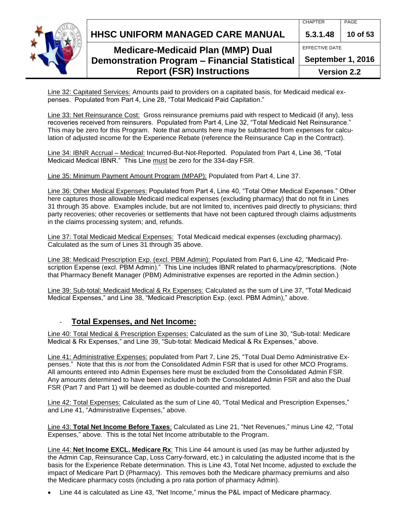**HHSC UNIFORM MANAGED CARE MANUAL 5.3.1.48 10 of 53**

EFFECTIVE DATE

**September 1, 2016**

**Version 2.2**

Line 32: Capitated Services: Amounts paid to providers on a capitated basis, for Medicaid medical expenses. Populated from Part 4, Line 28, "Total Medicaid Paid Capitation."

Line 33: Net Reinsurance Cost: Gross reinsurance premiums paid with respect to Medicaid (if any), less recoveries received from reinsurers. Populated from Part 4, Line 32, "Total Medicaid Net Reinsurance." This may be zero for this Program. Note that amounts here may be subtracted from expenses for calculation of adjusted income for the Experience Rebate (reference the Reinsurance Cap in the Contract).

Line 34: IBNR Accrual – Medical: Incurred-But-Not-Reported. Populated from Part 4, Line 36, "Total Medicaid Medical IBNR." This Line must be zero for the 334-day FSR.

Line 35: Minimum Payment Amount Program (MPAP): Populated from Part 4, Line 37.

Line 36: Other Medical Expenses: Populated from Part 4, Line 40, "Total Other Medical Expenses." Other here captures those allowable Medicaid medical expenses (excluding pharmacy) that do not fit in Lines 31 through 35 above. Examples include, but are not limited to, incentives paid directly to physicians; third party recoveries; other recoveries or settlements that have not been captured through claims adjustments in the claims processing system; and, refunds.

Line 37: Total Medicaid Medical Expenses: Total Medicaid medical expenses (excluding pharmacy). Calculated as the sum of Lines 31 through 35 above.

Line 38: Medicaid Prescription Exp. (excl. PBM Admin): Populated from Part 6, Line 42, "Medicaid Prescription Expense (excl. PBM Admin)." This Line includes IBNR related to pharmacy/prescriptions. (Note that Pharmacy Benefit Manager (PBM) Administrative expenses are reported in the Admin section.)

Line 39: Sub-total: Medicaid Medical & Rx Expenses: Calculated as the sum of Line 37, "Total Medicaid Medical Expenses," and Line 38, "Medicaid Prescription Exp. (excl. PBM Admin)," above.

## - **Total Expenses, and Net Income:**

<span id="page-9-1"></span>Line 40: Total Medical & Prescription Expenses: Calculated as the sum of Line 30, "Sub-total: Medicare Medical & Rx Expenses," and Line 39, "Sub-total: Medicaid Medical & Rx Expenses," above.

<span id="page-9-0"></span>Line 41: Administrative Expenses: populated from Part 7, Line 25, "Total Dual Demo Administrative Expenses." Note that this is *not* from the Consolidated Admin FSR that is used for other MCO Programs. All amounts entered into Admin Expenses here must be excluded from the Consolidated Admin FSR. Any amounts determined to have been included in both the Consolidated Admin FSR and also the Dual FSR (Part 7 and Part 1) will be deemed as double-counted and misreported.

Line 42: Total Expenses: Calculated as the sum of Line 40, "Total Medical and Prescription Expenses," and Line 41, "Administrative Expenses," above.

<span id="page-9-2"></span>Line 43: **Total Net Income Before Taxes**: Calculated as Line 21, "Net Revenues," minus Line 42, "Total Expenses," above. This is the total Net Income attributable to the Program.

Line 44: **Net Income EXCL. Medicare Rx**: This Line 44 amount is used (as may be further adjusted by the Admin Cap, Reinsurance Cap, Loss Carry-forward, etc.) in calculating the adjusted income that is the basis for the Experience Rebate determination. This is Line 43, Total Net Income, adjusted to exclude the impact of Medicare Part D (Pharmacy). This removes both the Medicare pharmacy premiums and also the Medicare pharmacy costs (including a pro rata portion of pharmacy Admin).

Line 44 is calculated as Line 43, "Net Income," minus the P&L impact of Medicare pharmacy.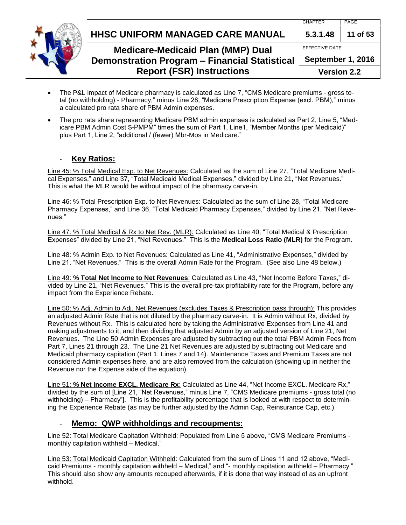



## **Medicare-Medicaid Plan (MMP) Dual Demonstration Program – Financial Statistical**

# **Report (FSR) Instructions**

| $5.3.1.48$   11 of 53 |  |  |
|-----------------------|--|--|
| EFFECTIVE DATE        |  |  |
| September 1, 2016     |  |  |
|                       |  |  |

**Version 2.2**

- The P&L impact of Medicare pharmacy is calculated as Line 7, "CMS Medicare premiums gross total (no withholding) - Pharmacy," minus Line 28, "Medicare Prescription Expense (excl. PBM)," minus a calculated pro rata share of PBM Admin expenses.
- The pro rata share representing Medicare PBM admin expenses is calculated as Part 2, Line 5, "Medicare PBM Admin Cost \$-PMPM" times the sum of Part 1, Line1, "Member Months (per Medicaid)" plus Part 1, Line 2, "additional / (fewer) Mbr-Mos in Medicare."

### **Key Ratios:**

<span id="page-10-0"></span>Line 45: % Total Medical Exp. to Net Revenues: Calculated as the sum of Line 27, "Total Medicare Medical Expenses," and Line 37, "Total Medicaid Medical Expenses," divided by Line 21, "Net Revenues." This is what the MLR would be without impact of the pharmacy carve-in.

Line 46: % Total Prescription Exp. to Net Revenues: Calculated as the sum of Line 28, "Total Medicare Pharmacy Expenses," and Line 36, "Total Medicaid Pharmacy Expenses," divided by Line 21, "Net Revenues."

Line 47: % Total Medical & Rx to Net Rev. (MLR): Calculated as Line 40, "Total Medical & Prescription Expenses" divided by Line 21, "Net Revenues." This is the **Medical Loss Ratio (MLR)** for the Program.

Line 48: % Admin Exp. to Net Revenues: Calculated as Line 41, "Administrative Expenses," divided by Line 21, "Net Revenues." This is the overall Admin Rate for the Program. (See also Line 48 below.)

Line 49: **% Total Net Income to Net Revenues**: Calculated as Line 43, "Net Income Before Taxes," divided by Line 21, "Net Revenues." This is the overall pre-tax profitability rate for the Program, before any impact from the Experience Rebate.

Line 50: % Adj. Admin to Adj. Net Revenues (excludes Taxes & Prescription pass through): This provides an adjusted Admin Rate that is not diluted by the pharmacy carve-in. It is Admin without Rx, divided by Revenues without Rx. This is calculated here by taking the Administrative Expenses from Line 41 and making adjustments to it, and then dividing that adjusted Admin by an adjusted version of Line 21, Net Revenues. The Line 50 Admin Expenses are adjusted by subtracting out the total PBM Admin Fees from Part 7, Lines 21 through 23. The Line 21 Net Revenues are adjusted by subtracting out Medicare and Medicaid pharmacy capitation (Part 1, Lines 7 and 14). Maintenance Taxes and Premium Taxes are not considered Admin expenses here, and are also removed from the calculation (showing up in neither the Revenue nor the Expense side of the equation).

Line 51: **% Net Income EXCL. Medicare Rx**: Calculated as Line 44, "Net Income EXCL. Medicare Rx," divided by the sum of [Line 21, "Net Revenues," minus Line 7, "CMS Medicare premiums - gross total (no withholding) – Pharmacy". This is the profitability percentage that is looked at with respect to determining the Experience Rebate (as may be further adjusted by the Admin Cap, Reinsurance Cap, etc.).

### <span id="page-10-1"></span>- **Memo: QWP withholdings and recoupments:**

Line 52: Total Medicare Capitation Withheld: Populated from Line 5 above, "CMS Medicare Premiums monthly capitation withheld – Medical."

Line 53: Total Medicaid Capitation Withheld: Calculated from the sum of Lines 11 and 12 above, "Medicaid Premiums - monthly capitation withheld – Medical," and "- monthly capitation withheld – Pharmacy." This should also show any amounts recouped afterwards, if it is done that way instead of as an upfront withhold.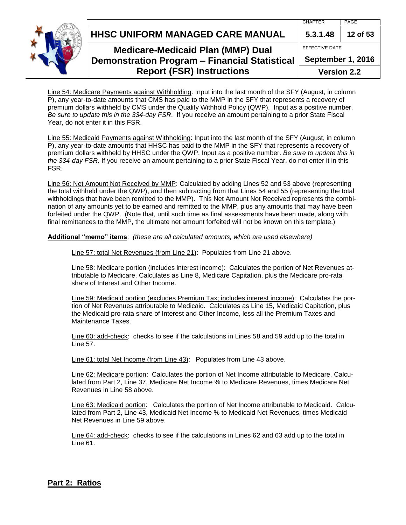**HHSC UNIFORM MANAGED CARE MANUAL 5.3.1.48 12 of 53**



## **Medicare-Medicaid Plan (MMP) Dual Demonstration Program – Financial Statistical Report (FSR) Instructions**

EFFECTIVE DATE **September 1, 2016**

**Version 2.2**

Line 54: Medicare Payments against Withholding: Input into the last month of the SFY (August, in column P), any year-to-date amounts that CMS has paid to the MMP in the SFY that represents a recovery of premium dollars withheld by CMS under the Quality Withhold Policy (QWP). Input as a positive number. *Be sure to update this in the 334-day FSR*. If you receive an amount pertaining to a prior State Fiscal Year, do not enter it in this FSR.

Line 55: Medicaid Payments against Withholding: Input into the last month of the SFY (August, in column P), any year-to-date amounts that HHSC has paid to the MMP in the SFY that represents a recovery of premium dollars withheld by HHSC under the QWP. Input as a positive number. *Be sure to update this in the 334-day FSR*. If you receive an amount pertaining to a prior State Fiscal Year, do not enter it in this FSR.

Line 56: Net Amount Not Received by MMP: Calculated by adding Lines 52 and 53 above (representing the total withheld under the QWP), and then subtracting from that Lines 54 and 55 (representing the total withholdings that have been remitted to the MMP). This Net Amount Not Received represents the combination of any amounts yet to be earned and remitted to the MMP, plus any amounts that may have been forfeited under the QWP. (Note that, until such time as final assessments have been made, along with final remittances to the MMP, the ultimate net amount forfeited will not be known on this template.)

**Additional "memo" items**: *(these are all calculated amounts, which are used elsewhere)*

Line 57: total Net Revenues (from Line 21): Populates from Line 21 above.

Line 58: Medicare portion (includes interest income): Calculates the portion of Net Revenues attributable to Medicare. Calculates as Line 8, Medicare Capitation, plus the Medicare pro-rata share of Interest and Other Income.

Line 59: Medicaid portion (excludes Premium Tax; includes interest income): Calculates the portion of Net Revenues attributable to Medicaid. Calculates as Line 15, Medicaid Capitation, plus the Medicaid pro-rata share of Interest and Other Income, less all the Premium Taxes and Maintenance Taxes.

Line 60: add-check: checks to see if the calculations in Lines 58 and 59 add up to the total in Line 57.

Line 61: total Net Income (from Line 43): Populates from Line 43 above.

Line 62: Medicare portion: Calculates the portion of Net Income attributable to Medicare. Calculated from Part 2, Line 37, Medicare Net Income % to Medicare Revenues, times Medicare Net Revenues in Line 58 above.

Line 63: Medicaid portion: Calculates the portion of Net Income attributable to Medicaid. Calculated from Part 2, Line 43, Medicaid Net Income % to Medicaid Net Revenues, times Medicaid Net Revenues in Line 59 above.

Line 64: add-check: checks to see if the calculations in Lines 62 and 63 add up to the total in Line 61.

### <span id="page-11-0"></span>**Part 2: Ratios**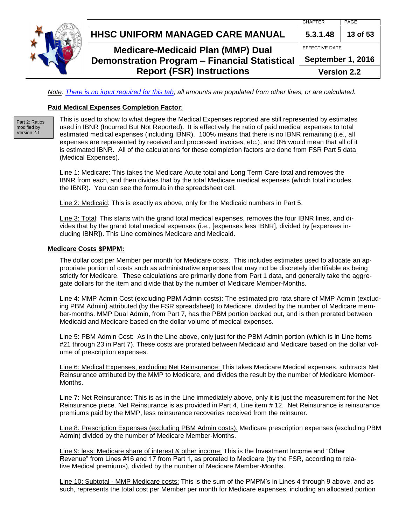

## **HHSC UNIFORM MANAGED CARE MANUAL 5.3.1.48 13 of 53**

## **Medicare-Medicaid Plan (MMP) Dual Demonstration Program – Financial Statistical Report (FSR) Instructions**

**September 1, 2016 Version 2.2**

CHAPTER PAGE

EFFECTIVE DATE

*Note: There is no input required for this tab; all amounts are populated from other lines, or are calculated.*

#### <span id="page-12-0"></span>**Paid Medical Expenses Completion Factor**:

Part 2: Ratios modified by Version 2.1

This is used to show to what degree the Medical Expenses reported are still represented by estimates used in IBNR (Incurred But Not Reported). It is effectively the ratio of paid medical expenses to total estimated medical expenses (including IBNR). 100% means that there is no IBNR remaining (i.e., all expenses are represented by received and processed invoices, etc.), and 0% would mean that all of it is estimated IBNR. All of the calculations for these completion factors are done from FSR Part 5 data (Medical Expenses).

Line 1: Medicare: This takes the Medicare Acute total and Long Term Care total and removes the IBNR from each, and then divides that by the total Medicare medical expenses (which total includes the IBNR). You can see the formula in the spreadsheet cell.

Line 2: Medicaid: This is exactly as above, only for the Medicaid numbers in Part 5.

Line 3: Total: This starts with the grand total medical expenses, removes the four IBNR lines, and divides that by the grand total medical expenses (i.e., [expenses less IBNR], divided by [expenses including IBNR]). This Line combines Medicare and Medicaid.

#### <span id="page-12-1"></span>**Medicare Costs \$PMPM:**

The dollar cost per Member per month for Medicare costs. This includes estimates used to allocate an appropriate portion of costs such as administrative expenses that may not be discretely identifiable as being strictly for Medicare. These calculations are primarily done from Part 1 data, and generally take the aggregate dollars for the item and divide that by the number of Medicare Member-Months.

Line 4: MMP Admin Cost (excluding PBM Admin costs): The estimated pro rata share of MMP Admin (excluding PBM Admin) attributed (by the FSR spreadsheet) to Medicare, divided by the number of Medicare member-months. MMP Dual Admin, from Part 7, has the PBM portion backed out, and is then prorated between Medicaid and Medicare based on the dollar volume of medical expenses.

Line 5: PBM Admin Cost: As in the Line above, only just for the PBM Admin portion (which is in Line items #21 through 23 in Part 7). These costs are prorated between Medicaid and Medicare based on the dollar volume of prescription expenses.

Line 6: Medical Expenses, excluding Net Reinsurance: This takes Medicare Medical expenses, subtracts Net Reinsurance attributed by the MMP to Medicare, and divides the result by the number of Medicare Member-Months.

Line 7: Net Reinsurance: This is as in the Line immediately above, only it is just the measurement for the Net Reinsurance piece. Net Reinsurance is as provided in Part 4, Line item # 12. Net Reinsurance is reinsurance premiums paid by the MMP, less reinsurance recoveries received from the reinsurer.

Line 8: Prescription Expenses (excluding PBM Admin costs): Medicare prescription expenses (excluding PBM Admin) divided by the number of Medicare Member-Months.

Line 9: less: Medicare share of interest & other income: This is the Investment Income and "Other Revenue" from Lines #16 and 17 from Part 1, as prorated to Medicare (by the FSR, according to relative Medical premiums), divided by the number of Medicare Member-Months.

Line 10: Subtotal - MMP Medicare costs: This is the sum of the PMPM's in Lines 4 through 9 above, and as such, represents the total cost per Member per month for Medicare expenses, including an allocated portion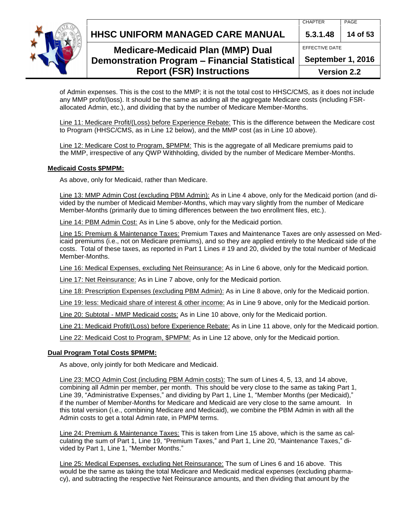**HHSC UNIFORM MANAGED CARE MANUAL 5.3.1.48 14 of 53**

EFFECTIVE DATE



## **Medicare-Medicaid Plan (MMP) Dual Demonstration Program – Financial Statistical Report (FSR) Instructions**

**September 1, 2016**

**Version 2.2**

of Admin expenses. This is the cost to the MMP; it is not the total cost to HHSC/CMS, as it does not include any MMP profit/(loss). It should be the same as adding all the aggregate Medicare costs (including FSRallocated Admin, etc.), and dividing that by the number of Medicare Member-Months.

Line 11: Medicare Profit/(Loss) before Experience Rebate: This is the difference between the Medicare cost to Program (HHSC/CMS, as in Line 12 below), and the MMP cost (as in Line 10 above).

Line 12: Medicare Cost to Program, \$PMPM: This is the aggregate of all Medicare premiums paid to the MMP, irrespective of any QWP Withholding, divided by the number of Medicare Member-Months.

#### <span id="page-13-0"></span>**Medicaid Costs \$PMPM:**

As above, only for Medicaid, rather than Medicare.

Line 13: MMP Admin Cost (excluding PBM Admin): As in Line 4 above, only for the Medicaid portion (and divided by the number of Medicaid Member-Months, which may vary slightly from the number of Medicare Member-Months (primarily due to timing differences between the two enrollment files, etc.).

Line 14: PBM Admin Cost: As in Line 5 above, only for the Medicaid portion.

Line 15: Premium & Maintenance Taxes: Premium Taxes and Maintenance Taxes are only assessed on Medicaid premiums (i.e., not on Medicare premiums), and so they are applied entirely to the Medicaid side of the costs. Total of these taxes, as reported in Part 1 Lines # 19 and 20, divided by the total number of Medicaid Member-Months.

Line 16: Medical Expenses, excluding Net Reinsurance: As in Line 6 above, only for the Medicaid portion.

Line 17: Net Reinsurance: As in Line 7 above, only for the Medicaid portion.

Line 18: Prescription Expenses (excluding PBM Admin): As in Line 8 above, only for the Medicaid portion.

Line 19: less: Medicaid share of interest & other income: As in Line 9 above, only for the Medicaid portion.

Line 20: Subtotal - MMP Medicaid costs: As in Line 10 above, only for the Medicaid portion.

Line 21: Medicaid Profit/(Loss) before Experience Rebate: As in Line 11 above, only for the Medicaid portion.

Line 22: Medicaid Cost to Program, \$PMPM: As in Line 12 above, only for the Medicaid portion.

#### <span id="page-13-1"></span>**Dual Program Total Costs \$PMPM:**

As above, only jointly for both Medicare and Medicaid.

Line 23: MCO Admin Cost (including PBM Admin costs): The sum of Lines 4, 5, 13, and 14 above, combining all Admin per member, per month. This should be very close to the same as taking Part 1, Line 39, "Administrative Expenses," and dividing by Part 1, Line 1, "Member Months (per Medicaid)," if the number of Member-Months for Medicare and Medicaid are very close to the same amount. In this total version (i.e., combining Medicare and Medicaid), we combine the PBM Admin in with all the Admin costs to get a total Admin rate, in PMPM terms.

Line 24: Premium & Maintenance Taxes: This is taken from Line 15 above, which is the same as calculating the sum of Part 1, Line 19, "Premium Taxes," and Part 1, Line 20, "Maintenance Taxes," divided by Part 1, Line 1, "Member Months."

Line 25: Medical Expenses, excluding Net Reinsurance: The sum of Lines 6 and 16 above. This would be the same as taking the total Medicare and Medicaid medical expenses (excluding pharmacy), and subtracting the respective Net Reinsurance amounts, and then dividing that amount by the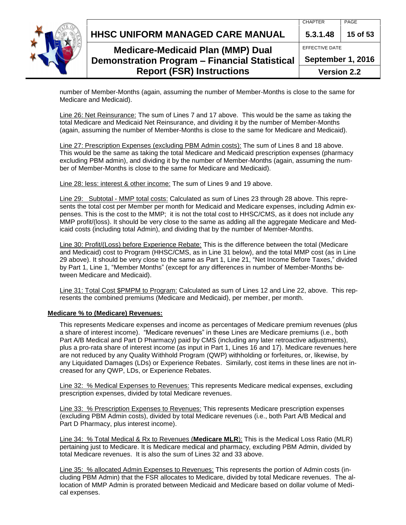**HHSC UNIFORM MANAGED CARE MANUAL 5.3.1.48 15 of 53**

EFFECTIVE DATE

**September 1, 2016**

**Version 2.2**

number of Member-Months (again, assuming the number of Member-Months is close to the same for Medicare and Medicaid).

Line 26: Net Reinsurance: The sum of Lines 7 and 17 above. This would be the same as taking the total Medicare and Medicaid Net Reinsurance, and dividing it by the number of Member-Months (again, assuming the number of Member-Months is close to the same for Medicare and Medicaid).

Line 27: Prescription Expenses (excluding PBM Admin costs): The sum of Lines 8 and 18 above. This would be the same as taking the total Medicare and Medicaid prescription expenses (pharmacy excluding PBM admin), and dividing it by the number of Member-Months (again, assuming the number of Member-Months is close to the same for Medicare and Medicaid).

Line 28: less: interest & other income: The sum of Lines 9 and 19 above.

Line 29: Subtotal - MMP total costs: Calculated as sum of Lines 23 through 28 above. This represents the total cost per Member per month for Medicaid and Medicare expenses, including Admin expenses. This is the cost to the MMP; it is not the total cost to HHSC/CMS, as it does not include any MMP profit/(loss). It should be very close to the same as adding all the aggregate Medicare and Medicaid costs (including total Admin), and dividing that by the number of Member-Months.

Line 30: Profit/(Loss) before Experience Rebate: This is the difference between the total (Medicare and Medicaid) cost to Program (HHSC/CMS, as in Line 31 below), and the total MMP cost (as in Line 29 above). It should be very close to the same as Part 1, Line 21, "Net Income Before Taxes," divided by Part 1, Line 1, "Member Months" (except for any differences in number of Member-Months between Medicare and Medicaid).

Line 31: Total Cost \$PMPM to Program: Calculated as sum of Lines 12 and Line 22, above. This represents the combined premiums (Medicare and Medicaid), per member, per month.

#### <span id="page-14-0"></span>**Medicare % to (Medicare) Revenues:**

This represents Medicare expenses and income as percentages of Medicare premium revenues (plus a share of interest income). "Medicare revenues" in these Lines are Medicare premiums (i.e., both Part A/B Medical and Part D Pharmacy) paid by CMS (including any later retroactive adjustments), plus a pro-rata share of interest income (as input in Part 1, Lines 16 and 17). Medicare revenues here are not reduced by any Quality Withhold Program (QWP) withholding or forfeitures, or, likewise, by any Liquidated Damages (LDs) or Experience Rebates. Similarly, cost items in these lines are not increased for any QWP, LDs, or Experience Rebates.

Line 32: % Medical Expenses to Revenues: This represents Medicare medical expenses, excluding prescription expenses, divided by total Medicare revenues.

Line 33: % Prescription Expenses to Revenues: This represents Medicare prescription expenses (excluding PBM Admin costs), divided by total Medicare revenues (i.e., both Part A/B Medical and Part D Pharmacy, plus interest income).

Line 34: % Total Medical & Rx to Revenues (**Medicare MLR**): This is the Medical Loss Ratio (MLR) pertaining just to Medicare. It is Medicare medical and pharmacy, excluding PBM Admin, divided by total Medicare revenues. It is also the sum of Lines 32 and 33 above.

Line 35: % allocated Admin Expenses to Revenues: This represents the portion of Admin costs (including PBM Admin) that the FSR allocates to Medicare, divided by total Medicare revenues. The allocation of MMP Admin is prorated between Medicaid and Medicare based on dollar volume of Medical expenses.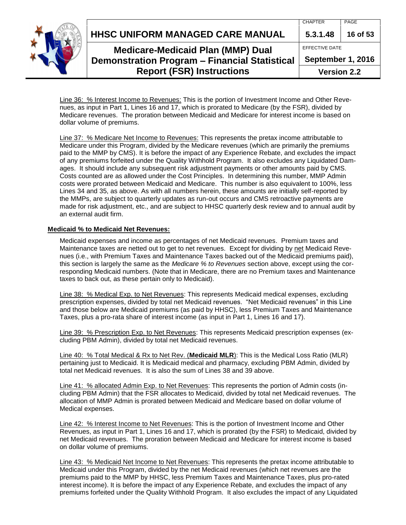**HHSC UNIFORM MANAGED CARE MANUAL 5.3.1.48 16 of 53**



**Medicare-Medicaid Plan (MMP) Dual Demonstration Program – Financial Statistical Report (FSR) Instructions**

EFFECTIVE DATE **September 1, 2016 Version 2.2**

Line 36: % Interest Income to Revenues: This is the portion of Investment Income and Other Revenues, as input in Part 1, Lines 16 and 17, which is prorated to Medicare (by the FSR), divided by Medicare revenues. The proration between Medicaid and Medicare for interest income is based on dollar volume of premiums.

Line 37: % Medicare Net Income to Revenues: This represents the pretax income attributable to Medicare under this Program, divided by the Medicare revenues (which are primarily the premiums paid to the MMP by CMS). It is before the impact of any Experience Rebate, and excludes the impact of any premiums forfeited under the Quality Withhold Program. It also excludes any Liquidated Damages. It should include any subsequent risk adjustment payments or other amounts paid by CMS. Costs counted are as allowed under the Cost Principles. In determining this number, MMP Admin costs were prorated between Medicaid and Medicare. This number is also equivalent to 100%, less Lines 34 and 35, as above. As with all numbers herein, these amounts are initially self-reported by the MMPs, are subject to quarterly updates as run-out occurs and CMS retroactive payments are made for risk adjustment, etc., and are subject to HHSC quarterly desk review and to annual audit by an external audit firm.

#### <span id="page-15-0"></span>**Medicaid % to Medicaid Net Revenues:**

Medicaid expenses and income as percentages of net Medicaid revenues. Premium taxes and Maintenance taxes are netted out to get to net revenues. Except for dividing by net Medicaid Revenues (i.e., with Premium Taxes and Maintenance Taxes backed out of the Medicaid premiums paid), this section is largely the same as the *Medicare % to Revenues* section above, except using the corresponding Medicaid numbers. (Note that in Medicare, there are no Premium taxes and Maintenance taxes to back out, as these pertain only to Medicaid).

Line 38: % Medical Exp. to Net Revenues: This represents Medicaid medical expenses, excluding prescription expenses, divided by total net Medicaid revenues. "Net Medicaid revenues" in this Line and those below are Medicaid premiums (as paid by HHSC), less Premium Taxes and Maintenance Taxes, plus a pro-rata share of interest income (as input in Part 1, Lines 16 and 17).

Line 39: % Prescription Exp. to Net Revenues: This represents Medicaid prescription expenses (excluding PBM Admin), divided by total net Medicaid revenues.

Line 40: % Total Medical & Rx to Net Rev. (**Medicaid MLR**): This is the Medical Loss Ratio (MLR) pertaining just to Medicaid. It is Medicaid medical and pharmacy, excluding PBM Admin, divided by total net Medicaid revenues. It is also the sum of Lines 38 and 39 above.

Line 41: % allocated Admin Exp. to Net Revenues: This represents the portion of Admin costs (including PBM Admin) that the FSR allocates to Medicaid, divided by total net Medicaid revenues. The allocation of MMP Admin is prorated between Medicaid and Medicare based on dollar volume of Medical expenses.

Line 42: % Interest Income to Net Revenues: This is the portion of Investment Income and Other Revenues, as input in Part 1, Lines 16 and 17, which is prorated (by the FSR) to Medicaid, divided by net Medicaid revenues. The proration between Medicaid and Medicare for interest income is based on dollar volume of premiums.

Line 43: % Medicaid Net Income to Net Revenues: This represents the pretax income attributable to Medicaid under this Program, divided by the net Medicaid revenues (which net revenues are the premiums paid to the MMP by HHSC, less Premium Taxes and Maintenance Taxes, plus pro-rated interest income). It is before the impact of any Experience Rebate, and excludes the impact of any premiums forfeited under the Quality Withhold Program. It also excludes the impact of any Liquidated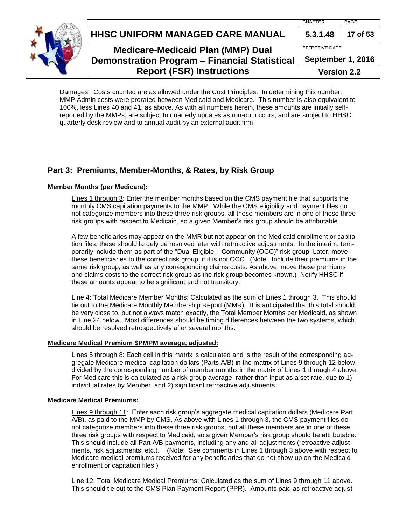**HHSC UNIFORM MANAGED CARE MANUAL 5.3.1.48 17 of 53**



## **Medicare-Medicaid Plan (MMP) Dual Demonstration Program – Financial Statistical Report (FSR) Instructions**

EFFECTIVE DATE **September 1, 2016 Version 2.2**

Damages. Costs counted are as allowed under the Cost Principles. In determining this number, MMP Admin costs were prorated between Medicaid and Medicare. This number is also equivalent to 100%, less Lines 40 and 41, as above. As with all numbers herein, these amounts are initially selfreported by the MMPs, are subject to quarterly updates as run-out occurs, and are subject to HHSC quarterly desk review and to annual audit by an external audit firm.

### <span id="page-16-0"></span>**Part 3: Premiums, Member-Months, & Rates, by Risk Group**

#### <span id="page-16-1"></span>**Member Months (per Medicare):**

Lines 1 through 3: Enter the member months based on the CMS payment file that supports the monthly CMS capitation payments to the MMP. While the CMS eligibility and payment files do not categorize members into these three risk groups, all these members are in one of these three risk groups with respect to Medicaid, so a given Member's risk group should be attributable.

A few beneficiaries may appear on the MMR but not appear on the Medicaid enrollment or capitation files; these should largely be resolved later with retroactive adjustments. In the interim, temporarily include them as part of the "Dual Eligible – Community (OCC)" risk group. Later, move these beneficiaries to the correct risk group, if it is not OCC. (Note: Include their premiums in the same risk group, as well as any corresponding claims costs. As above, move these premiums and claims costs to the correct risk group as the risk group becomes known.) Notify HHSC if these amounts appear to be significant and not transitory.

Line 4: Total Medicare Member Months: Calculated as the sum of Lines 1 through 3. This should tie out to the Medicare Monthly Membership Report (MMR). It is anticipated that this total should be very close to, but not always match exactly, the Total Member Months per Medicaid, as shown in Line 24 below. Most differences should be timing differences between the two systems, which should be resolved retrospectively after several months.

#### **Medicare Medical Premium \$PMPM average, adjusted:**

Lines 5 through 8: Each cell in this matrix is calculated and is the result of the corresponding aggregate Medicare medical capitation dollars (Parts A/B) in the matrix of Lines 9 through 12 below, divided by the corresponding number of member months in the matrix of Lines 1 through 4 above. For Medicare this is calculated as a risk group average, rather than input as a set rate, due to 1) individual rates by Member, and 2) significant retroactive adjustments.

#### **Medicare Medical Premiums:**

Lines 9 through 11: Enter each risk group's aggregate medical capitation dollars (Medicare Part A/B), as paid to the MMP by CMS. As above with Lines 1 through 3, the CMS payment files do not categorize members into these three risk groups, but all these members are in one of these three risk groups with respect to Medicaid, so a given Member's risk group should be attributable. This should include all Part A/B payments, including any and all adjustments (retroactive adjustments, risk adjustments, etc.). (Note: See comments in Lines 1 through 3 above with respect to Medicare medical premiums received for any beneficiaries that do not show up on the Medicaid enrollment or capitation files.)

Line 12: Total Medicare Medical Premiums: Calculated as the sum of Lines 9 through 11 above. This should tie out to the CMS Plan Payment Report (PPR). Amounts paid as retroactive adjust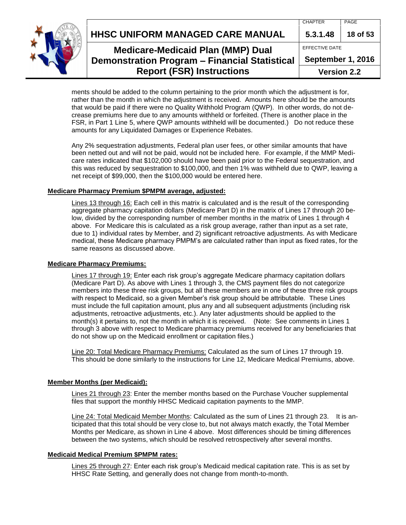**HHSC UNIFORM MANAGED CARE MANUAL 5.3.1.48 18 of 53**



## **Medicare-Medicaid Plan (MMP) Dual Demonstration Program – Financial Statistical Report (FSR) Instructions**

EFFECTIVE DATE

**September 1, 2016**

**Version 2.2**

ments should be added to the column pertaining to the prior month which the adjustment is for, rather than the month in which the adjustment is received. Amounts here should be the amounts that would be paid if there were no Quality Withhold Program (QWP). In other words, do not decrease premiums here due to any amounts withheld or forfeited. (There is another place in the FSR, in Part 1 Line 5, where QWP amounts withheld will be documented.) Do not reduce these amounts for any Liquidated Damages or Experience Rebates.

Any 2% sequestration adjustments, Federal plan user fees, or other similar amounts that have been netted out and will not be paid, would not be included here. For example, if the MMP Medicare rates indicated that \$102,000 should have been paid prior to the Federal sequestration, and this was reduced by sequestration to \$100,000, and then 1% was withheld due to QWP, leaving a net receipt of \$99,000, then the \$100,000 would be entered here.

#### **Medicare Pharmacy Premium \$PMPM average, adjusted:**

Lines 13 through 16: Each cell in this matrix is calculated and is the result of the corresponding aggregate pharmacy capitation dollars (Medicare Part D) in the matrix of Lines 17 through 20 below, divided by the corresponding number of member months in the matrix of Lines 1 through 4 above. For Medicare this is calculated as a risk group average, rather than input as a set rate, due to 1) individual rates by Member, and 2) significant retroactive adjustments. As with Medicare medical, these Medicare pharmacy PMPM's are calculated rather than input as fixed rates, for the same reasons as discussed above.

#### **Medicare Pharmacy Premiums:**

Lines 17 through 19: Enter each risk group's aggregate Medicare pharmacy capitation dollars (Medicare Part D). As above with Lines 1 through 3, the CMS payment files do not categorize members into these three risk groups, but all these members are in one of these three risk groups with respect to Medicaid, so a given Member's risk group should be attributable. These Lines must include the full capitation amount, plus any and all subsequent adjustments (including risk adjustments, retroactive adjustments, etc.). Any later adjustments should be applied to the month(s) it pertains to, not the month in which it is received. (Note: See comments in Lines 1 through 3 above with respect to Medicare pharmacy premiums received for any beneficiaries that do not show up on the Medicaid enrollment or capitation files.)

Line 20: Total Medicare Pharmacy Premiums: Calculated as the sum of Lines 17 through 19. This should be done similarly to the instructions for Line 12, Medicare Medical Premiums, above.

#### <span id="page-17-0"></span>**Member Months (per Medicaid):**

Lines 21 through 23: Enter the member months based on the Purchase Voucher supplemental files that support the monthly HHSC Medicaid capitation payments to the MMP.

Line 24: Total Medicaid Member Months: Calculated as the sum of Lines 21 through 23. It is anticipated that this total should be very close to, but not always match exactly, the Total Member Months per Medicare, as shown in Line 4 above. Most differences should be timing differences between the two systems, which should be resolved retrospectively after several months.

#### **Medicaid Medical Premium \$PMPM rates:**

Lines 25 through 27: Enter each risk group's Medicaid medical capitation rate. This is as set by HHSC Rate Setting, and generally does not change from month-to-month.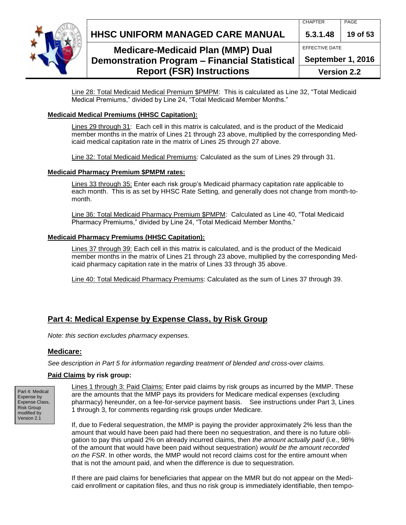

## **HHSC UNIFORM MANAGED CARE MANUAL 5.3.1.48 19 of 53**

## **Medicare-Medicaid Plan (MMP) Dual Demonstration Program – Financial Statistical Report (FSR) Instructions**

EFFECTIVE DATE **September 1, 2016**

**Version 2.2**

Line 28: Total Medicaid Medical Premium \$PMPM: This is calculated as Line 32, "Total Medicaid Medical Premiums," divided by Line 24, "Total Medicaid Member Months."

### **Medicaid Medical Premiums (HHSC Capitation):**

Lines 29 through 31: Each cell in this matrix is calculated, and is the product of the Medicaid member months in the matrix of Lines 21 through 23 above, multiplied by the corresponding Medicaid medical capitation rate in the matrix of Lines 25 through 27 above.

Line 32: Total Medicaid Medical Premiums: Calculated as the sum of Lines 29 through 31.

#### **Medicaid Pharmacy Premium \$PMPM rates:**

Lines 33 through 35: Enter each risk group's Medicaid pharmacy capitation rate applicable to each month. This is as set by HHSC Rate Setting, and generally does not change from month-tomonth.

Line 36: Total Medicaid Pharmacy Premium \$PMPM: Calculated as Line 40, "Total Medicaid Pharmacy Premiums," divided by Line 24, "Total Medicaid Member Months."

#### **Medicaid Pharmacy Premiums (HHSC Capitation):**

Lines 37 through 39: Each cell in this matrix is calculated, and is the product of the Medicaid member months in the matrix of Lines 21 through 23 above, multiplied by the corresponding Medicaid pharmacy capitation rate in the matrix of Lines 33 through 35 above.

Line 40: Total Medicaid Pharmacy Premiums: Calculated as the sum of Lines 37 through 39.

### <span id="page-18-0"></span>**Part 4: Medical Expense by Expense Class, by Risk Group**

<span id="page-18-1"></span>*Note: this section excludes pharmacy expenses.*

#### **Medicare:**

*See description in Part 5 for information regarding treatment of blended and cross-over claims.*

#### **Paid Claims by risk group:**

Part 4: Medical Expense by Expense Class, Risk Group modified by Version 2.1

Lines 1 through 3: Paid Claims: Enter paid claims by risk groups as incurred by the MMP. These are the amounts that the MMP pays its providers for Medicare medical expenses (excluding pharmacy) hereunder, on a fee-for-service payment basis. See instructions under Part 3, Lines 1 through 3, for comments regarding risk groups under Medicare.

If, due to Federal sequestration, the MMP is paying the provider approximately 2% less than the amount that would have been paid had there been no sequestration, and there is no future obligation to pay this unpaid 2% on already incurred claims, then *the amount actually paid* (i.e., 98% of the amount that would have been paid without sequestration) *would be the amount recorded on the FSR*. In other words, the MMP would not record claims cost for the entire amount when that is not the amount paid, and when the difference is due to sequestration.

If there are paid claims for beneficiaries that appear on the MMR but do not appear on the Medicaid enrollment or capitation files, and thus no risk group is immediately identifiable, then tempo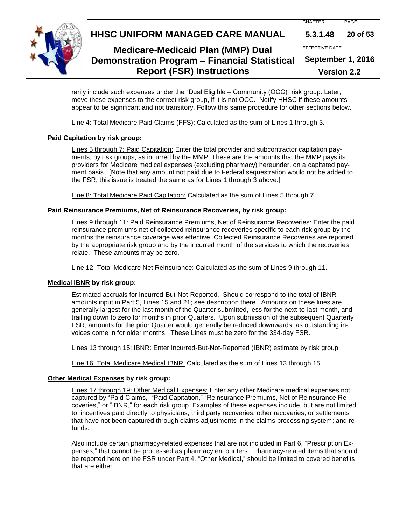**HHSC UNIFORM MANAGED CARE MANUAL 5.3.1.48 20 of 53** 



## **Medicare-Medicaid Plan (MMP) Dual Demonstration Program – Financial Statistical Report (FSR) Instructions**

rarily include such expenses under the "Dual Eligible – Community (OCC)" risk group. Later, move these expenses to the correct risk group, if it is not OCC. Notify HHSC if these amounts appear to be significant and not transitory. Follow this same procedure for other sections below.

Line 4: Total Medicare Paid Claims (FFS): Calculated as the sum of Lines 1 through 3.

### **Paid Capitation by risk group:**

Lines 5 through 7: Paid Capitation: Enter the total provider and subcontractor capitation payments, by risk groups, as incurred by the MMP. These are the amounts that the MMP pays its providers for Medicare medical expenses (excluding pharmacy) hereunder, on a capitated payment basis. [Note that any amount not paid due to Federal sequestration would not be added to the FSR; this issue is treated the same as for Lines 1 through 3 above.]

Line 8: Total Medicare Paid Capitation: Calculated as the sum of Lines 5 through 7.

### **Paid Reinsurance Premiums, Net of Reinsurance Recoveries, by risk group:**

Lines 9 through 11: Paid Reinsurance Premiums, Net of Reinsurance Recoveries: Enter the paid reinsurance premiums net of collected reinsurance recoveries specific to each risk group by the months the reinsurance coverage was effective. Collected Reinsurance Recoveries are reported by the appropriate risk group and by the incurred month of the services to which the recoveries relate. These amounts may be zero.

Line 12: Total Medicare Net Reinsurance: Calculated as the sum of Lines 9 through 11.

### **Medical IBNR by risk group:**

Estimated accruals for Incurred-But-Not-Reported. Should correspond to the total of IBNR amounts input in Part 5, Lines 15 and 21; see description there. Amounts on these lines are generally largest for the last month of the Quarter submitted, less for the next-to-last month, and trailing down to zero for months in prior Quarters. Upon submission of the subsequent Quarterly FSR, amounts for the prior Quarter would generally be reduced downwards, as outstanding invoices come in for older months. These Lines must be zero for the 334-day FSR.

Lines 13 through 15: IBNR: Enter Incurred-But-Not-Reported (IBNR) estimate by risk group.

Line 16: Total Medicare Medical IBNR: Calculated as the sum of Lines 13 through 15.

## **Other Medical Expenses by risk group:**

Lines 17 through 19: Other Medical Expenses: Enter any other Medicare medical expenses not captured by "Paid Claims," "Paid Capitation," "Reinsurance Premiums, Net of Reinsurance Recoveries," or "IBNR," for each risk group. Examples of these expenses include, but are not limited to, incentives paid directly to physicians; third party recoveries, other recoveries, or settlements that have not been captured through claims adjustments in the claims processing system; and refunds.

Also include certain pharmacy-related expenses that are not included in Part 6, "Prescription Expenses," that cannot be processed as pharmacy encounters. Pharmacy-related items that should be reported here on the FSR under Part 4, "Other Medical," should be limited to covered benefits that are either: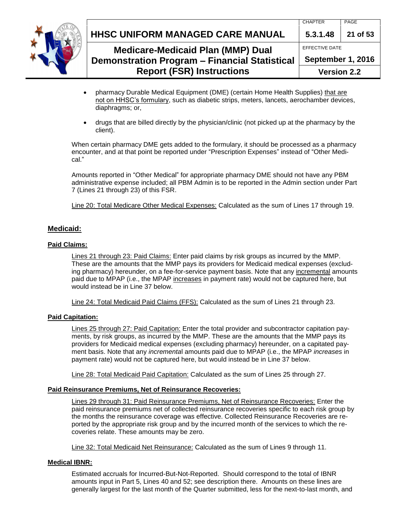

## **HHSC UNIFORM MANAGED CARE MANUAL 5.3.1.48 21 of 53**

## **Medicare-Medicaid Plan (MMP) Dual Demonstration Program – Financial Statistical Report (FSR) Instructions**

EFFECTIVE DATE **September 1, 2016**

**Version 2.2**

- pharmacy Durable Medical Equipment (DME) (certain Home Health Supplies) that are not on HHSC's formulary, such as diabetic strips, meters, lancets, aerochamber devices, diaphragms; or,
- drugs that are billed directly by the physician/clinic (not picked up at the pharmacy by the client).

When certain pharmacy DME gets added to the formulary, it should be processed as a pharmacy encounter, and at that point be reported under "Prescription Expenses" instead of "Other Medical."

Amounts reported in "Other Medical" for appropriate pharmacy DME should not have any PBM administrative expense included; all PBM Admin is to be reported in the Admin section under Part 7 (Lines 21 through 23) of this FSR.

Line 20: Total Medicare Other Medical Expenses: Calculated as the sum of Lines 17 through 19.

#### <span id="page-20-0"></span>**Medicaid:**

#### **Paid Claims:**

Lines 21 through 23: Paid Claims: Enter paid claims by risk groups as incurred by the MMP. These are the amounts that the MMP pays its providers for Medicaid medical expenses (excluding pharmacy) hereunder, on a fee-for-service payment basis. Note that any incremental amounts paid due to MPAP (i.e., the MPAP increases in payment rate) would not be captured here, but would instead be in Line 37 below.

Line 24: Total Medicaid Paid Claims (FFS): Calculated as the sum of Lines 21 through 23.

#### **Paid Capitation:**

Lines 25 through 27: Paid Capitation: Enter the total provider and subcontractor capitation payments, by risk groups, as incurred by the MMP. These are the amounts that the MMP pays its providers for Medicaid medical expenses (excluding pharmacy) hereunder, on a capitated payment basis. Note that any *incrementa*l amounts paid due to MPAP (i.e., the MPAP *increases* in payment rate) would not be captured here, but would instead be in Line 37 below.

Line 28: Total Medicaid Paid Capitation: Calculated as the sum of Lines 25 through 27.

#### **Paid Reinsurance Premiums, Net of Reinsurance Recoveries:**

Lines 29 through 31: Paid Reinsurance Premiums, Net of Reinsurance Recoveries: Enter the paid reinsurance premiums net of collected reinsurance recoveries specific to each risk group by the months the reinsurance coverage was effective. Collected Reinsurance Recoveries are reported by the appropriate risk group and by the incurred month of the services to which the recoveries relate. These amounts may be zero.

Line 32: Total Medicaid Net Reinsurance: Calculated as the sum of Lines 9 through 11.

#### **Medical IBNR:**

Estimated accruals for Incurred-But-Not-Reported. Should correspond to the total of IBNR amounts input in Part 5, Lines 40 and 52; see description there. Amounts on these lines are generally largest for the last month of the Quarter submitted, less for the next-to-last month, and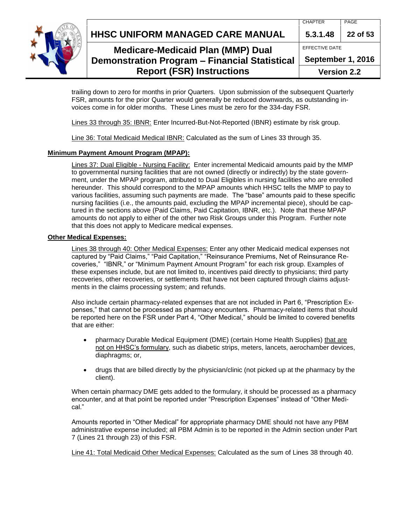



## **Medicare-Medicaid Plan (MMP) Dual Demonstration Program – Financial Statistical Report (FSR) Instructions**

| 5.3.1.48 22 of 53  |  |  |
|--------------------|--|--|
| EFFECTIVE DATE     |  |  |
| September 1, 2016  |  |  |
| <b>Version 2.2</b> |  |  |

trailing down to zero for months in prior Quarters. Upon submission of the subsequent Quarterly FSR, amounts for the prior Quarter would generally be reduced downwards, as outstanding invoices come in for older months. These Lines must be zero for the 334-day FSR.

Lines 33 through 35: IBNR: Enter Incurred-But-Not-Reported (IBNR) estimate by risk group.

Line 36: Total Medicaid Medical IBNR: Calculated as the sum of Lines 33 through 35.

### **Minimum Payment Amount Program (MPAP):**

Lines 37: Dual Eligible - Nursing Facility: Enter incremental Medicaid amounts paid by the MMP to governmental nursing facilities that are not owned (directly or indirectly) by the state government, under the MPAP program, attributed to Dual Eligibles in nursing facilities who are enrolled hereunder. This should correspond to the MPAP amounts which HHSC tells the MMP to pay to various facilities, assuming such payments are made. The "base" amounts paid to these specific nursing facilities (i.e., the amounts paid, excluding the MPAP incremental piece), should be captured in the sections above (Paid Claims, Paid Capitation, IBNR, etc.). Note that these MPAP amounts do not apply to either of the other two Risk Groups under this Program. Further note that this does not apply to Medicare medical expenses.

### **Other Medical Expenses:**

Lines 38 through 40: Other Medical Expenses: Enter any other Medicaid medical expenses not captured by "Paid Claims," "Paid Capitation," "Reinsurance Premiums, Net of Reinsurance Recoveries," "IBNR," or "Minimum Payment Amount Program" for each risk group. Examples of these expenses include, but are not limited to, incentives paid directly to physicians; third party recoveries, other recoveries, or settlements that have not been captured through claims adjustments in the claims processing system; and refunds.

Also include certain pharmacy-related expenses that are not included in Part 6, "Prescription Expenses," that cannot be processed as pharmacy encounters. Pharmacy-related items that should be reported here on the FSR under Part 4, "Other Medical," should be limited to covered benefits that are either:

- pharmacy Durable Medical Equipment (DME) (certain Home Health Supplies) that are not on HHSC's formulary, such as diabetic strips, meters, lancets, aerochamber devices, diaphragms; or,
- drugs that are billed directly by the physician/clinic (not picked up at the pharmacy by the client).

When certain pharmacy DME gets added to the formulary, it should be processed as a pharmacy encounter, and at that point be reported under "Prescription Expenses" instead of "Other Medical."

Amounts reported in "Other Medical" for appropriate pharmacy DME should not have any PBM administrative expense included; all PBM Admin is to be reported in the Admin section under Part 7 (Lines 21 through 23) of this FSR.

Line 41: Total Medicaid Other Medical Expenses: Calculated as the sum of Lines 38 through 40.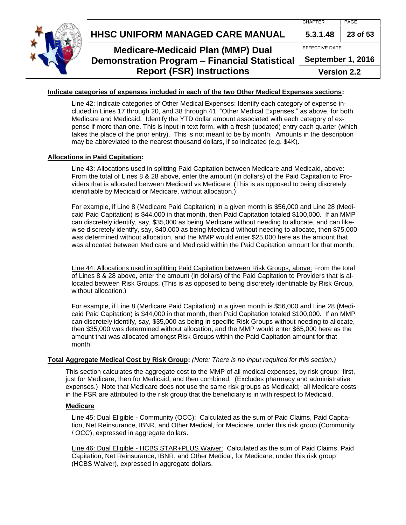

EFFECTIVE DATE



## **Medicare-Medicaid Plan (MMP) Dual Demonstration Program – Financial Statistical Report (FSR) Instructions**

**September 1, 2016**

**Version 2.2**

#### **Indicate categories of expenses included in each of the two Other Medical Expenses sections:**

Line 42: Indicate categories of Other Medical Expenses: Identify each category of expense included in Lines 17 through 20, and 38 through 41, "Other Medical Expenses," as above, for both Medicare and Medicaid. Identify the YTD dollar amount associated with each category of expense if more than one. This is input in text form, with a fresh (updated) entry each quarter (which takes the place of the prior entry). This is not meant to be by month. Amounts in the description may be abbreviated to the nearest thousand dollars, if so indicated (e.g. \$4K).

#### **Allocations in Paid Capitation:**

Line 43: Allocations used in splitting Paid Capitation between Medicare and Medicaid, above: From the total of Lines 8 & 28 above, enter the amount (in dollars) of the Paid Capitation to Providers that is allocated between Medicaid vs Medicare. (This is as opposed to being discretely identifiable by Medicaid or Medicare, without allocation.)

For example, if Line 8 (Medicare Paid Capitation) in a given month is \$56,000 and Line 28 (Medicaid Paid Capitation) is \$44,000 in that month, then Paid Capitation totaled \$100,000. If an MMP can discretely identify, say, \$35,000 as being Medicare without needing to allocate, and can likewise discretely identify, say, \$40,000 as being Medicaid without needing to allocate, then \$75,000 was determined without allocation, and the MMP would enter \$25,000 here as the amount that was allocated between Medicare and Medicaid within the Paid Capitation amount for that month.

Line 44: Allocations used in splitting Paid Capitation between Risk Groups, above: From the total of Lines 8 & 28 above, enter the amount (in dollars) of the Paid Capitation to Providers that is allocated between Risk Groups. (This is as opposed to being discretely identifiable by Risk Group, without allocation.)

For example, if Line 8 (Medicare Paid Capitation) in a given month is \$56,000 and Line 28 (Medicaid Paid Capitation) is \$44,000 in that month, then Paid Capitation totaled \$100,000. If an MMP can discretely identify, say, \$35,000 as being in specific Risk Groups without needing to allocate, then \$35,000 was determined without allocation, and the MMP would enter \$65,000 here as the amount that was allocated amongst Risk Groups within the Paid Capitation amount for that month.

#### <span id="page-22-0"></span>**Total Aggregate Medical Cost by Risk Group:** *(Note: There is no input required for this section.)*

This section calculates the aggregate cost to the MMP of all medical expenses, by risk group; first, just for Medicare, then for Medicaid, and then combined. (Excludes pharmacy and administrative expenses.) Note that Medicare does not use the same risk groups as Medicaid; all Medicare costs in the FSR are attributed to the risk group that the beneficiary is in with respect to Medicaid.

#### **Medicare**

Line 45: Dual Eligible - Community (OCC): Calculated as the sum of Paid Claims, Paid Capitation, Net Reinsurance, IBNR, and Other Medical, for Medicare, under this risk group (Community / OCC), expressed in aggregate dollars.

Line 46: Dual Eligible - HCBS STAR+PLUS Waiver: Calculated as the sum of Paid Claims, Paid Capitation, Net Reinsurance, IBNR, and Other Medical, for Medicare, under this risk group (HCBS Waiver), expressed in aggregate dollars.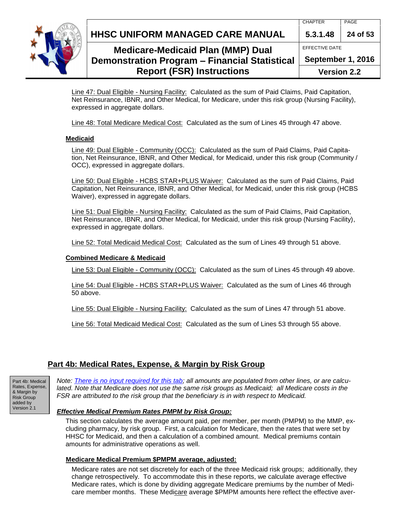**HHSC UNIFORM MANAGED CARE MANUAL 5.3.1.48 24 of 53**



## **Medicare-Medicaid Plan (MMP) Dual Demonstration Program – Financial Statistical Report (FSR) Instructions**

EFFECTIVE DATE **September 1, 2016**

**Version 2.2**

Line 47: Dual Eligible - Nursing Facility: Calculated as the sum of Paid Claims, Paid Capitation, Net Reinsurance, IBNR, and Other Medical, for Medicare, under this risk group (Nursing Facility), expressed in aggregate dollars.

Line 48: Total Medicare Medical Cost: Calculated as the sum of Lines 45 through 47 above.

#### **Medicaid**

Line 49: Dual Eligible - Community (OCC): Calculated as the sum of Paid Claims, Paid Capitation, Net Reinsurance, IBNR, and Other Medical, for Medicaid, under this risk group (Community / OCC), expressed in aggregate dollars.

Line 50: Dual Eligible - HCBS STAR+PLUS Waiver: Calculated as the sum of Paid Claims, Paid Capitation, Net Reinsurance, IBNR, and Other Medical, for Medicaid, under this risk group (HCBS Waiver), expressed in aggregate dollars.

Line 51: Dual Eligible - Nursing Facility: Calculated as the sum of Paid Claims, Paid Capitation, Net Reinsurance, IBNR, and Other Medical, for Medicaid, under this risk group (Nursing Facility), expressed in aggregate dollars.

Line 52: Total Medicaid Medical Cost: Calculated as the sum of Lines 49 through 51 above.

#### **Combined Medicare & Medicaid**

Line 53: Dual Eligible - Community (OCC): Calculated as the sum of Lines 45 through 49 above.

Line 54: Dual Eligible - HCBS STAR+PLUS Waiver: Calculated as the sum of Lines 46 through 50 above.

Line 55: Dual Eligible - Nursing Facility: Calculated as the sum of Lines 47 through 51 above.

Line 56: Total Medicaid Medical Cost: Calculated as the sum of Lines 53 through 55 above.

### <span id="page-23-0"></span>**Part 4b: Medical Rates, Expense, & Margin by Risk Group**

Part 4b: Medical Rates, Expense, & Margin by Risk Group added by Version 2.1

*Note: There is no input required for this tab; all amounts are populated from other lines, or are calculated. Note that Medicare does not use the same risk groups as Medicaid; all Medicare costs in the FSR are attributed to the risk group that the beneficiary is in with respect to Medicaid.*

#### <span id="page-23-1"></span>*Effective Medical Premium Rates PMPM by Risk Group:*

This section calculates the average amount paid, per member, per month (PMPM) to the MMP, excluding pharmacy, by risk group. First, a calculation for Medicare, then the rates that were set by HHSC for Medicaid, and then a calculation of a combined amount. Medical premiums contain amounts for administrative operations as well.

#### **Medicare Medical Premium \$PMPM average, adjusted:**

Medicare rates are not set discretely for each of the three Medicaid risk groups; additionally, they change retrospectively. To accommodate this in these reports, we calculate average effective Medicare rates, which is done by dividing aggregate Medicare premiums by the number of Medicare member months. These Medicare average \$PMPM amounts here reflect the effective aver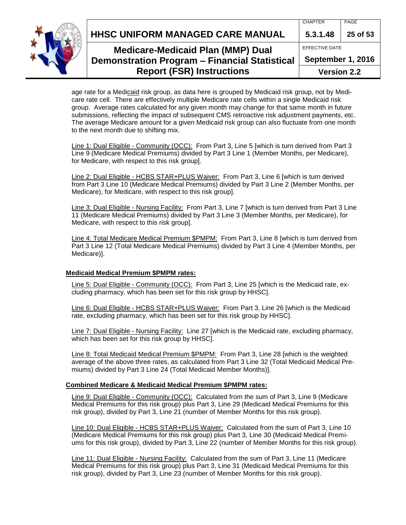**HHSC UNIFORM MANAGED CARE MANUAL 5.3.1.48 25 of 53**



## **Medicare-Medicaid Plan (MMP) Dual Demonstration Program – Financial Statistical Report (FSR) Instructions**

EFFECTIVE DATE

**September 1, 2016**

**Version 2.2**

age rate for a Medicaid risk group, as data here is grouped by Medicaid risk group, not by Medicare rate cell. There are effectively multiple Medicare rate cells within a single Medicaid risk group. Average rates calculated for any given month may change for that same month in future submissions, reflecting the impact of subsequent CMS retroactive risk adjustment payments, etc. The average Medicare amount for a given Medicaid risk group can also fluctuate from one month to the next month due to shifting mix.

Line 1: Dual Eligible - Community (OCC): From Part 3, Line 5 [which is turn derived from Part 3 Line 9 (Medicare Medical Premiums) divided by Part 3 Line 1 (Member Months, per Medicare), for Medicare, with respect to this risk group].

Line 2: Dual Eligible - HCBS STAR+PLUS Waiver: From Part 3, Line 6 [which is turn derived from Part 3 Line 10 (Medicare Medical Premiums) divided by Part 3 Line 2 (Member Months, per Medicare), for Medicare, with respect to this risk group].

Line 3: Dual Eligible - Nursing Facility: From Part 3, Line 7 [which is turn derived from Part 3 Line 11 (Medicare Medical Premiums) divided by Part 3 Line 3 (Member Months, per Medicare), for Medicare, with respect to this risk group].

Line 4: Total Medicare Medical Premium \$PMPM: From Part 3, Line 8 [which is turn derived from Part 3 Line 12 (Total Medicare Medical Premiums) divided by Part 3 Line 4 (Member Months, per Medicare)].

#### **Medicaid Medical Premium \$PMPM rates:**

Line 5: Dual Eligible - Community (OCC): From Part 3, Line 25 [which is the Medicaid rate, excluding pharmacy, which has been set for this risk group by HHSC].

Line 6: Dual Eligible - HCBS STAR+PLUS Waiver: From Part 3, Line 26 [which is the Medicaid rate, excluding pharmacy, which has been set for this risk group by HHSC].

Line 7: Dual Eligible - Nursing Facility: Line 27 [which is the Medicaid rate, excluding pharmacy, which has been set for this risk group by HHSC].

Line 8: Total Medicaid Medical Premium \$PMPM: From Part 3, Line 28 [which is the weighted average of the above three rates, as calculated from Part 3 Line 32 (Total Medicaid Medical Premiums) divided by Part 3 Line 24 (Total Medicaid Member Months)].

#### **Combined Medicare & Medicaid Medical Premium \$PMPM rates:**

Line 9: Dual Eligible - Community (OCC): Calculated from the sum of Part 3, Line 9 (Medicare Medical Premiums for this risk group) plus Part 3, Line 29 (Medicaid Medical Premiums for this risk group), divided by Part 3, Line 21 (number of Member Months for this risk group).

Line 10: Dual Eligible - HCBS STAR+PLUS Waiver: Calculated from the sum of Part 3, Line 10 (Medicare Medical Premiums for this risk group) plus Part 3, Line 30 (Medicaid Medical Premiums for this risk group), divided by Part 3, Line 22 (number of Member Months for this risk group).

Line 11: Dual Eligible - Nursing Facility: Calculated from the sum of Part 3, Line 11 (Medicare Medical Premiums for this risk group) plus Part 3, Line 31 (Medicaid Medical Premiums for this risk group), divided by Part 3, Line 23 (number of Member Months for this risk group).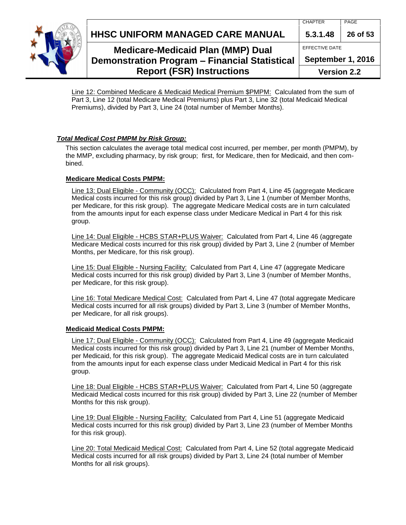**HHSC UNIFORM MANAGED CARE MANUAL 5.3.1.48 26 of 53**



## **Medicare-Medicaid Plan (MMP) Dual Demonstration Program – Financial Statistical Report (FSR) Instructions**

| $5.3.1.48$   26 of 53 |  |  |
|-----------------------|--|--|
| EFFECTIVE DATE        |  |  |
| September 1, 2016     |  |  |
| Version 2.2           |  |  |

Line 12: Combined Medicare & Medicaid Medical Premium \$PMPM: Calculated from the sum of Part 3, Line 12 (total Medicare Medical Premiums) plus Part 3, Line 32 (total Medicaid Medical Premiums), divided by Part 3, Line 24 (total number of Member Months).

### <span id="page-25-0"></span>*Total Medical Cost PMPM by Risk Group:*

This section calculates the average total medical cost incurred, per member, per month (PMPM), by the MMP, excluding pharmacy, by risk group; first, for Medicare, then for Medicaid, and then combined.

### **Medicare Medical Costs PMPM:**

Line 13: Dual Eligible - Community (OCC): Calculated from Part 4, Line 45 (aggregate Medicare Medical costs incurred for this risk group) divided by Part 3, Line 1 (number of Member Months, per Medicare, for this risk group). The aggregate Medicare Medical costs are in turn calculated from the amounts input for each expense class under Medicare Medical in Part 4 for this risk group.

Line 14: Dual Eligible - HCBS STAR+PLUS Waiver: Calculated from Part 4, Line 46 (aggregate Medicare Medical costs incurred for this risk group) divided by Part 3, Line 2 (number of Member Months, per Medicare, for this risk group).

Line 15: Dual Eligible - Nursing Facility: Calculated from Part 4, Line 47 (aggregate Medicare Medical costs incurred for this risk group) divided by Part 3, Line 3 (number of Member Months, per Medicare, for this risk group).

Line 16: Total Medicare Medical Cost: Calculated from Part 4, Line 47 (total aggregate Medicare Medical costs incurred for all risk groups) divided by Part 3, Line 3 (number of Member Months, per Medicare, for all risk groups).

### **Medicaid Medical Costs PMPM:**

Line 17: Dual Eligible - Community (OCC): Calculated from Part 4, Line 49 (aggregate Medicaid Medical costs incurred for this risk group) divided by Part 3, Line 21 (number of Member Months, per Medicaid, for this risk group). The aggregate Medicaid Medical costs are in turn calculated from the amounts input for each expense class under Medicaid Medical in Part 4 for this risk group.

Line 18: Dual Eligible - HCBS STAR+PLUS Waiver: Calculated from Part 4, Line 50 (aggregate Medicaid Medical costs incurred for this risk group) divided by Part 3, Line 22 (number of Member Months for this risk group).

Line 19: Dual Eligible - Nursing Facility: Calculated from Part 4, Line 51 (aggregate Medicaid Medical costs incurred for this risk group) divided by Part 3, Line 23 (number of Member Months for this risk group).

Line 20: Total Medicaid Medical Cost: Calculated from Part 4, Line 52 (total aggregate Medicaid Medical costs incurred for all risk groups) divided by Part 3, Line 24 (total number of Member Months for all risk groups).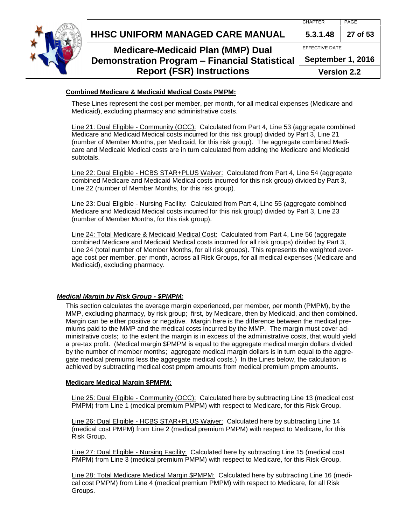**HHSC UNIFORM MANAGED CARE MANUAL 5.3.1.48 27 of 53**



## **Medicare-Medicaid Plan (MMP) Dual Demonstration Program – Financial Statistical Report (FSR) Instructions**

#### **Version 2.2**

#### **Combined Medicare & Medicaid Medical Costs PMPM:**

These Lines represent the cost per member, per month, for all medical expenses (Medicare and Medicaid), excluding pharmacy and administrative costs.

Line 21: Dual Eligible - Community (OCC): Calculated from Part 4, Line 53 (aggregate combined Medicare and Medicaid Medical costs incurred for this risk group) divided by Part 3, Line 21 (number of Member Months, per Medicaid, for this risk group). The aggregate combined Medicare and Medicaid Medical costs are in turn calculated from adding the Medicare and Medicaid subtotals.

Line 22: Dual Eligible - HCBS STAR+PLUS Waiver: Calculated from Part 4, Line 54 (aggregate combined Medicare and Medicaid Medical costs incurred for this risk group) divided by Part 3, Line 22 (number of Member Months, for this risk group).

Line 23: Dual Eligible - Nursing Facility: Calculated from Part 4, Line 55 (aggregate combined Medicare and Medicaid Medical costs incurred for this risk group) divided by Part 3, Line 23 (number of Member Months, for this risk group).

Line 24: Total Medicare & Medicaid Medical Cost: Calculated from Part 4, Line 56 (aggregate combined Medicare and Medicaid Medical costs incurred for all risk groups) divided by Part 3, Line 24 (total number of Member Months, for all risk groups). This represents the weighted average cost per member, per month, across all Risk Groups, for all medical expenses (Medicare and Medicaid), excluding pharmacy.

#### <span id="page-26-0"></span>*Medical Margin by Risk Group - \$PMPM:*

This section calculates the average margin experienced, per member, per month (PMPM), by the MMP, excluding pharmacy, by risk group; first, by Medicare, then by Medicaid, and then combined. Margin can be either positive or negative. Margin here is the difference between the medical premiums paid to the MMP and the medical costs incurred by the MMP. The margin must cover administrative costs; to the extent the margin is in excess of the administrative costs, that would yield a pre-tax profit. (Medical margin \$PMPM is equal to the aggregate medical margin dollars divided by the number of member months: aggregate medical margin dollars is in turn equal to the aggregate medical premiums less the aggregate medical costs.) In the Lines below, the calculation is achieved by subtracting medical cost pmpm amounts from medical premium pmpm amounts.

#### **Medicare Medical Margin \$PMPM:**

Line 25: Dual Eligible - Community (OCC): Calculated here by subtracting Line 13 (medical cost PMPM) from Line 1 (medical premium PMPM) with respect to Medicare, for this Risk Group.

Line 26: Dual Eligible - HCBS STAR+PLUS Waiver: Calculated here by subtracting Line 14 (medical cost PMPM) from Line 2 (medical premium PMPM) with respect to Medicare, for this Risk Group.

Line 27: Dual Eligible - Nursing Facility: Calculated here by subtracting Line 15 (medical cost PMPM) from Line 3 (medical premium PMPM) with respect to Medicare, for this Risk Group.

Line 28: Total Medicare Medical Margin \$PMPM: Calculated here by subtracting Line 16 (medical cost PMPM) from Line 4 (medical premium PMPM) with respect to Medicare, for all Risk Groups.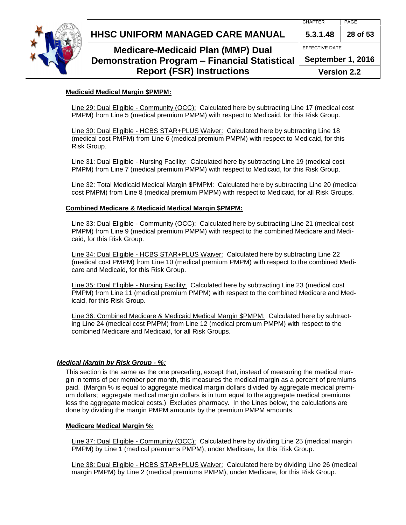

## **Medicare-Medicaid Plan (MMP) Dual Demonstration Program – Financial Statistical Report (FSR) Instructions**

EFFECTIVE DATE

**September 1, 2016**

**Version 2.2**

### **Medicaid Medical Margin \$PMPM:**

Line 29: Dual Eligible - Community (OCC): Calculated here by subtracting Line 17 (medical cost PMPM) from Line 5 (medical premium PMPM) with respect to Medicaid, for this Risk Group.

Line 30: Dual Eligible - HCBS STAR+PLUS Waiver: Calculated here by subtracting Line 18 (medical cost PMPM) from Line 6 (medical premium PMPM) with respect to Medicaid, for this Risk Group.

Line 31: Dual Eligible - Nursing Facility: Calculated here by subtracting Line 19 (medical cost PMPM) from Line 7 (medical premium PMPM) with respect to Medicaid, for this Risk Group.

Line 32: Total Medicaid Medical Margin \$PMPM: Calculated here by subtracting Line 20 (medical cost PMPM) from Line 8 (medical premium PMPM) with respect to Medicaid, for all Risk Groups.

#### **Combined Medicare & Medicaid Medical Margin \$PMPM:**

Line 33: Dual Eligible - Community (OCC): Calculated here by subtracting Line 21 (medical cost PMPM) from Line 9 (medical premium PMPM) with respect to the combined Medicare and Medicaid, for this Risk Group.

Line 34: Dual Eligible - HCBS STAR+PLUS Waiver: Calculated here by subtracting Line 22 (medical cost PMPM) from Line 10 (medical premium PMPM) with respect to the combined Medicare and Medicaid, for this Risk Group.

Line 35: Dual Eligible - Nursing Facility: Calculated here by subtracting Line 23 (medical cost PMPM) from Line 11 (medical premium PMPM) with respect to the combined Medicare and Medicaid, for this Risk Group.

Line 36: Combined Medicare & Medicaid Medical Margin \$PMPM: Calculated here by subtracting Line 24 (medical cost PMPM) from Line 12 (medical premium PMPM) with respect to the combined Medicare and Medicaid, for all Risk Groups.

### <span id="page-27-0"></span>*Medical Margin by Risk Group - %:*

This section is the same as the one preceding, except that, instead of measuring the medical margin in terms of per member per month, this measures the medical margin as a percent of premiums paid. (Margin % is equal to aggregate medical margin dollars divided by aggregate medical premium dollars; aggregate medical margin dollars is in turn equal to the aggregate medical premiums less the aggregate medical costs.) Excludes pharmacy. In the Lines below, the calculations are done by dividing the margin PMPM amounts by the premium PMPM amounts.

#### **Medicare Medical Margin %:**

Line 37: Dual Eligible - Community (OCC): Calculated here by dividing Line 25 (medical margin PMPM) by Line 1 (medical premiums PMPM), under Medicare, for this Risk Group.

Line 38: Dual Eligible - HCBS STAR+PLUS Waiver: Calculated here by dividing Line 26 (medical margin PMPM) by Line 2 (medical premiums PMPM), under Medicare, for this Risk Group.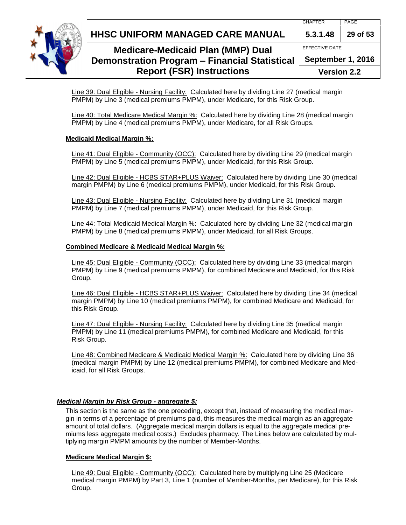



## **Medicare-Medicaid Plan (MMP) Dual Demonstration Program – Financial Statistical Report (FSR) Instructions**

EFFECTIVE DATE **September 1, 2016**

**Version 2.2**

Line 39: Dual Eligible - Nursing Facility: Calculated here by dividing Line 27 (medical margin PMPM) by Line 3 (medical premiums PMPM), under Medicare, for this Risk Group.

Line 40: Total Medicare Medical Margin %: Calculated here by dividing Line 28 (medical margin PMPM) by Line 4 (medical premiums PMPM), under Medicare, for all Risk Groups.

### **Medicaid Medical Margin %:**

Line 41: Dual Eligible - Community (OCC): Calculated here by dividing Line 29 (medical margin PMPM) by Line 5 (medical premiums PMPM), under Medicaid, for this Risk Group.

Line 42: Dual Eligible - HCBS STAR+PLUS Waiver: Calculated here by dividing Line 30 (medical margin PMPM) by Line 6 (medical premiums PMPM), under Medicaid, for this Risk Group.

Line 43: Dual Eligible - Nursing Facility: Calculated here by dividing Line 31 (medical margin PMPM) by Line 7 (medical premiums PMPM), under Medicaid, for this Risk Group.

Line 44: Total Medicaid Medical Margin %: Calculated here by dividing Line 32 (medical margin PMPM) by Line 8 (medical premiums PMPM), under Medicaid, for all Risk Groups.

#### **Combined Medicare & Medicaid Medical Margin %:**

Line 45: Dual Eligible - Community (OCC): Calculated here by dividing Line 33 (medical margin PMPM) by Line 9 (medical premiums PMPM), for combined Medicare and Medicaid, for this Risk Group.

Line 46: Dual Eligible - HCBS STAR+PLUS Waiver: Calculated here by dividing Line 34 (medical margin PMPM) by Line 10 (medical premiums PMPM), for combined Medicare and Medicaid, for this Risk Group.

Line 47: Dual Eligible - Nursing Facility: Calculated here by dividing Line 35 (medical margin PMPM) by Line 11 (medical premiums PMPM), for combined Medicare and Medicaid, for this Risk Group.

Line 48: Combined Medicare & Medicaid Medical Margin %: Calculated here by dividing Line 36 (medical margin PMPM) by Line 12 (medical premiums PMPM), for combined Medicare and Medicaid, for all Risk Groups.

### <span id="page-28-0"></span>*Medical Margin by Risk Group - aggregate \$:*

This section is the same as the one preceding, except that, instead of measuring the medical margin in terms of a percentage of premiums paid, this measures the medical margin as an aggregate amount of total dollars. (Aggregate medical margin dollars is equal to the aggregate medical premiums less aggregate medical costs.) Excludes pharmacy. The Lines below are calculated by multiplying margin PMPM amounts by the number of Member-Months.

### **Medicare Medical Margin \$:**

Line 49: Dual Eligible - Community (OCC): Calculated here by multiplying Line 25 (Medicare medical margin PMPM) by Part 3, Line 1 (number of Member-Months, per Medicare), for this Risk Group.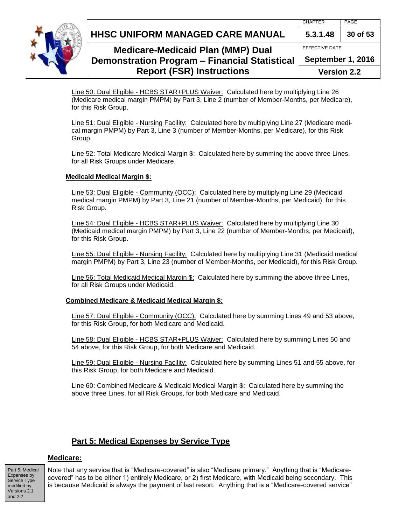**HHSC UNIFORM MANAGED CARE MANUAL 5.3.1.48 30 of 53**



## **Medicare-Medicaid Plan (MMP) Dual Demonstration Program – Financial Statistical Report (FSR) Instructions**

EFFECTIVE DATE **September 1, 2016 Version 2.2**

Line 50: Dual Eligible - HCBS STAR+PLUS Waiver: Calculated here by multiplying Line 26 (Medicare medical margin PMPM) by Part 3, Line 2 (number of Member-Months, per Medicare), for this Risk Group.

Line 51: Dual Eligible - Nursing Facility: Calculated here by multiplying Line 27 (Medicare medical margin PMPM) by Part 3, Line 3 (number of Member-Months, per Medicare), for this Risk Group.

Line 52: Total Medicare Medical Margin \$: Calculated here by summing the above three Lines, for all Risk Groups under Medicare.

### **Medicaid Medical Margin \$:**

Line 53: Dual Eligible - Community (OCC): Calculated here by multiplying Line 29 (Medicaid medical margin PMPM) by Part 3, Line 21 (number of Member-Months, per Medicaid), for this Risk Group.

Line 54: Dual Eligible - HCBS STAR+PLUS Waiver: Calculated here by multiplying Line 30 (Medicaid medical margin PMPM) by Part 3, Line 22 (number of Member-Months, per Medicaid), for this Risk Group.

Line 55: Dual Eligible - Nursing Facility: Calculated here by multiplying Line 31 (Medicaid medical margin PMPM) by Part 3, Line 23 (number of Member-Months, per Medicaid), for this Risk Group.

Line 56: Total Medicaid Medical Margin \$: Calculated here by summing the above three Lines, for all Risk Groups under Medicaid.

### **Combined Medicare & Medicaid Medical Margin \$:**

Line 57: Dual Eligible - Community (OCC): Calculated here by summing Lines 49 and 53 above, for this Risk Group, for both Medicare and Medicaid.

Line 58: Dual Eligible - HCBS STAR+PLUS Waiver: Calculated here by summing Lines 50 and 54 above, for this Risk Group, for both Medicare and Medicaid.

Line 59: Dual Eligible - Nursing Facility: Calculated here by summing Lines 51 and 55 above, for this Risk Group, for both Medicare and Medicaid.

Line 60: Combined Medicare & Medicaid Medical Margin \$: Calculated here by summing the above three Lines, for all Risk Groups, for both Medicare and Medicaid.

## <span id="page-29-0"></span>**Part 5: Medical Expenses by Service Type**

### **Medicare:**

Part 5: Medical Expenses by Service Type modified by Versions 2.1 and 2.2

<span id="page-29-1"></span>Note that any service that is "Medicare-covered" is also "Medicare primary." Anything that is "Medicarecovered" has to be either 1) entirely Medicare, or 2) first Medicare, with Medicaid being secondary. This is because Medicaid is always the payment of last resort. Anything that is a "Medicare-covered service"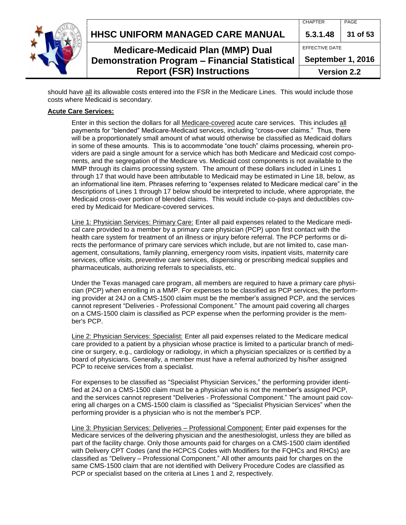| <b>Report (FSR) Instructions</b>                                                          | <b>Version 2.2</b> |          |
|-------------------------------------------------------------------------------------------|--------------------|----------|
| <b>Medicare-Medicaid Plan (MMP) Dual</b><br>Demonstration Program - Financial Statistical | September 1, 2016  |          |
|                                                                                           | EFFECTIVE DATE     |          |
| HHSC UNIFORM MANAGED CARE MANUAL                                                          | 5.3.1.48           | 31 of 53 |
|                                                                                           | <b>CHAPTER</b>     | PAGE     |

should have all its allowable costs entered into the FSR in the Medicare Lines. This would include those costs where Medicaid is secondary.

#### **Acute Care Services:**

Enter in this section the dollars for all Medicare-covered acute care services. This includes all payments for "blended" Medicare-Medicaid services, including "cross-over claims." Thus, there will be a proportionately small amount of what would otherwise be classified as Medicaid dollars in some of these amounts. This is to accommodate "one touch" claims processing, wherein providers are paid a single amount for a service which has both Medicare and Medicaid cost components, and the segregation of the Medicare vs. Medicaid cost components is not available to the MMP through its claims processing system. The amount of these dollars included in Lines 1 through 17 that would have been attributable to Medicaid may be estimated in Line 18, below, as an informational line item. Phrases referring to "expenses related to Medicare medical care" in the descriptions of Lines 1 through 17 below should be interpreted to include, where appropriate, the Medicaid cross-over portion of blended claims. This would include co-pays and deductibles covered by Medicaid for Medicare-covered services.

Line 1: Physician Services: Primary Care: Enter all paid expenses related to the Medicare medical care provided to a member by a primary care physician (PCP) upon first contact with the health care system for treatment of an illness or injury before referral. The PCP performs or directs the performance of primary care services which include, but are not limited to, case management, consultations, family planning, emergency room visits, inpatient visits, maternity care services, office visits, preventive care services, dispensing or prescribing medical supplies and pharmaceuticals, authorizing referrals to specialists, etc.

Under the Texas managed care program, all members are required to have a primary care physician (PCP) when enrolling in a MMP. For expenses to be classified as PCP services, the performing provider at 24J on a CMS-1500 claim must be the member's assigned PCP, and the services cannot represent "Deliveries - Professional Component." The amount paid covering all charges on a CMS-1500 claim is classified as PCP expense when the performing provider is the member's PCP.

Line 2: Physician Services: Specialist: Enter all paid expenses related to the Medicare medical care provided to a patient by a physician whose practice is limited to a particular branch of medicine or surgery, e.g., cardiology or radiology, in which a physician specializes or is certified by a board of physicians. Generally, a member must have a referral authorized by his/her assigned PCP to receive services from a specialist.

For expenses to be classified as "Specialist Physician Services," the performing provider identified at 24J on a CMS-1500 claim must be a physician who is not the member's assigned PCP, and the services cannot represent "Deliveries - Professional Component." The amount paid covering all charges on a CMS-1500 claim is classified as "Specialist Physician Services" when the performing provider is a physician who is not the member's PCP.

Line 3: Physician Services: Deliveries – Professional Component: Enter paid expenses for the Medicare services of the delivering physician and the anesthesiologist, unless they are billed as part of the facility charge. Only those amounts paid for charges on a CMS-1500 claim identified with Delivery CPT Codes (and the HCPCS Codes with Modifiers for the FQHCs and RHCs) are classified as "Delivery – Professional Component." All other amounts paid for charges on the same CMS-1500 claim that are not identified with Delivery Procedure Codes are classified as PCP or specialist based on the criteria at Lines 1 and 2, respectively.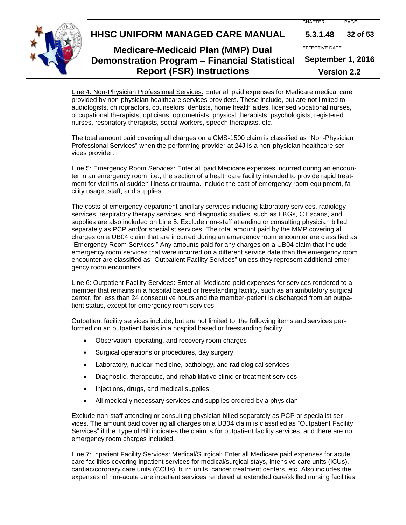**HHSC UNIFORM MANAGED CARE MANUAL 5.3.1.48 32 of 53**



## **Medicare-Medicaid Plan (MMP) Dual Demonstration Program – Financial Statistical Report (FSR) Instructions**

EFFECTIVE DATE

**September 1, 2016**

**Version 2.2**

Line 4: Non-Physician Professional Services: Enter all paid expenses for Medicare medical care provided by non-physician healthcare services providers. These include, but are not limited to, audiologists, chiropractors, counselors, dentists, home health aides, licensed vocational nurses, occupational therapists, opticians, optometrists, physical therapists, psychologists, registered nurses, respiratory therapists, social workers, speech therapists, etc.

The total amount paid covering all charges on a CMS-1500 claim is classified as "Non-Physician Professional Services" when the performing provider at 24J is a non-physician healthcare services provider.

Line 5: Emergency Room Services: Enter all paid Medicare expenses incurred during an encounter in an emergency room, i.e., the section of a healthcare facility intended to provide rapid treatment for victims of sudden illness or trauma. Include the cost of emergency room equipment, facility usage, staff, and supplies.

The costs of emergency department ancillary services including laboratory services, radiology services, respiratory therapy services, and diagnostic studies, such as EKGs, CT scans, and supplies are also included on Line 5. Exclude non-staff attending or consulting physician billed separately as PCP and/or specialist services. The total amount paid by the MMP covering all charges on a UB04 claim that are incurred during an emergency room encounter are classified as "Emergency Room Services." Any amounts paid for any charges on a UB04 claim that include emergency room services that were incurred on a different service date than the emergency room encounter are classified as "Outpatient Facility Services" unless they represent additional emergency room encounters.

Line 6: Outpatient Facility Services: Enter all Medicare paid expenses for services rendered to a member that remains in a hospital based or freestanding facility, such as an ambulatory surgical center, for less than 24 consecutive hours and the member-patient is discharged from an outpatient status, except for emergency room services.

Outpatient facility services include, but are not limited to, the following items and services performed on an outpatient basis in a hospital based or freestanding facility:

- Observation, operating, and recovery room charges
- Surgical operations or procedures, day surgery
- Laboratory, nuclear medicine, pathology, and radiological services
- Diagnostic, therapeutic, and rehabilitative clinic or treatment services
- Injections, drugs, and medical supplies
- All medically necessary services and supplies ordered by a physician

Exclude non-staff attending or consulting physician billed separately as PCP or specialist services. The amount paid covering all charges on a UB04 claim is classified as "Outpatient Facility Services" if the Type of Bill indicates the claim is for outpatient facility services, and there are no emergency room charges included.

Line 7: Inpatient Facility Services: Medical/Surgical: Enter all Medicare paid expenses for acute care facilities covering inpatient services for medical/surgical stays, intensive care units (ICUs), cardiac/coronary care units (CCUs), burn units, cancer treatment centers, etc. Also includes the expenses of non-acute care inpatient services rendered at extended care/skilled nursing facilities.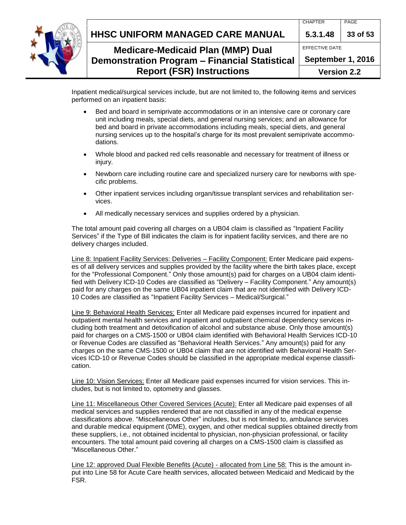

CHAPTER PAGE

## **Medicare-Medicaid Plan (MMP) Dual Demonstration Program – Financial Statistical Report (FSR) Instructions**

EFFECTIVE DATE **September 1, 2016**

**Version 2.2**

Inpatient medical/surgical services include, but are not limited to, the following items and services performed on an inpatient basis:

- Bed and board in semiprivate accommodations or in an intensive care or coronary care unit including meals, special diets, and general nursing services; and an allowance for bed and board in private accommodations including meals, special diets, and general nursing services up to the hospital's charge for its most prevalent semiprivate accommodations.
- Whole blood and packed red cells reasonable and necessary for treatment of illness or injury.
- Newborn care including routine care and specialized nursery care for newborns with specific problems.
- Other inpatient services including organ/tissue transplant services and rehabilitation services.
- All medically necessary services and supplies ordered by a physician.

The total amount paid covering all charges on a UB04 claim is classified as "Inpatient Facility Services" if the Type of Bill indicates the claim is for inpatient facility services, and there are no delivery charges included.

Line 8: Inpatient Facility Services: Deliveries – Facility Component: Enter Medicare paid expenses of all delivery services and supplies provided by the facility where the birth takes place, except for the "Professional Component." Only those amount(s) paid for charges on a UB04 claim identified with Delivery ICD-10 Codes are classified as "Delivery – Facility Component." Any amount(s) paid for any charges on the same UB04 inpatient claim that are not identified with Delivery ICD-10 Codes are classified as "Inpatient Facility Services – Medical/Surgical."

Line 9: Behavioral Health Services: Enter all Medicare paid expenses incurred for inpatient and outpatient mental health services and inpatient and outpatient chemical dependency services including both treatment and detoxification of alcohol and substance abuse. Only those amount(s) paid for charges on a CMS-1500 or UB04 claim identified with Behavioral Health Services ICD-10 or Revenue Codes are classified as "Behavioral Health Services." Any amount(s) paid for any charges on the same CMS-1500 or UB04 claim that are not identified with Behavioral Health Services ICD-10 or Revenue Codes should be classified in the appropriate medical expense classification.

Line 10: Vision Services: Enter all Medicare paid expenses incurred for vision services. This includes, but is not limited to, optometry and glasses.

Line 11: Miscellaneous Other Covered Services (Acute): Enter all Medicare paid expenses of all medical services and supplies rendered that are not classified in any of the medical expense classifications above. "Miscellaneous Other" includes, but is not limited to, ambulance services and durable medical equipment (DME), oxygen, and other medical supplies obtained directly from these suppliers, i.e., not obtained incidental to physician, non-physician professional, or facility encounters. The total amount paid covering all charges on a CMS-1500 claim is classified as "Miscellaneous Other."

Line 12: approved Dual Flexible Benefits (Acute) - allocated from Line 58: This is the amount input into Line 58 for Acute Care health services, allocated between Medicaid and Medicaid by the FSR.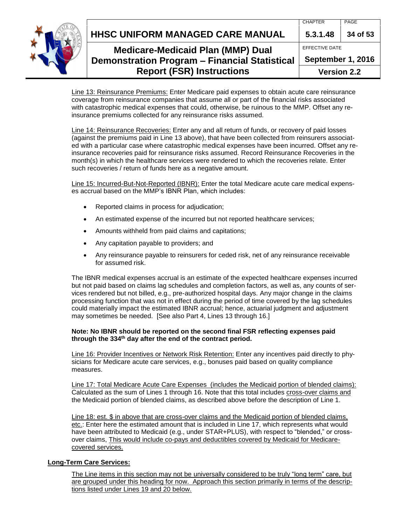**HHSC UNIFORM MANAGED CARE MANUAL 5.3.1.48 34 of 53**



## **Medicare-Medicaid Plan (MMP) Dual Demonstration Program – Financial Statistical Report (FSR) Instructions**

EFFECTIVE DATE **September 1, 2016 Version 2.2**

Line 13: Reinsurance Premiums: Enter Medicare paid expenses to obtain acute care reinsurance coverage from reinsurance companies that assume all or part of the financial risks associated with catastrophic medical expenses that could, otherwise, be ruinous to the MMP. Offset any reinsurance premiums collected for any reinsurance risks assumed.

Line 14: Reinsurance Recoveries: Enter any and all return of funds, or recovery of paid losses (against the premiums paid in Line 13 above), that have been collected from reinsurers associated with a particular case where catastrophic medical expenses have been incurred. Offset any reinsurance recoveries paid for reinsurance risks assumed. Record Reinsurance Recoveries in the month(s) in which the healthcare services were rendered to which the recoveries relate. Enter such recoveries / return of funds here as a negative amount.

Line 15: Incurred-But-Not-Reported (IBNR): Enter the total Medicare acute care medical expenses accrual based on the MMP's IBNR Plan, which includes:

- Reported claims in process for adjudication;
- An estimated expense of the incurred but not reported healthcare services;
- Amounts withheld from paid claims and capitations;
- Any capitation payable to providers; and
- Any reinsurance payable to reinsurers for ceded risk, net of any reinsurance receivable for assumed risk.

The IBNR medical expenses accrual is an estimate of the expected healthcare expenses incurred but not paid based on claims lag schedules and completion factors, as well as, any counts of services rendered but not billed, e.g., pre-authorized hospital days. Any major change in the claims processing function that was not in effect during the period of time covered by the lag schedules could materially impact the estimated IBNR accrual; hence, actuarial judgment and adjustment may sometimes be needed. [See also Part 4, Lines 13 through 16.]

#### **Note: No IBNR should be reported on the second final FSR reflecting expenses paid through the 334th day after the end of the contract period.**

Line 16: Provider Incentives or Network Risk Retention: Enter any incentives paid directly to physicians for Medicare acute care services, e.g., bonuses paid based on quality compliance measures.

Line 17: Total Medicare Acute Care Expenses (includes the Medicaid portion of blended claims): Calculated as the sum of Lines 1 through 16. Note that this total includes cross-over claims and the Medicaid portion of blended claims, as described above before the description of Line 1.

Line 18: est. \$ in above that are cross-over claims and the Medicaid portion of blended claims, etc.: Enter here the estimated amount that is included in Line 17, which represents what would have been attributed to Medicaid (e.g., under STAR+PLUS), with respect to "blended," or crossover claims, This would include co-pays and deductibles covered by Medicaid for Medicarecovered services.

### <span id="page-33-0"></span>**Long-Term Care Services:**

The Line items in this section may not be universally considered to be truly "long term" care, but are grouped under this heading for now. Approach this section primarily in terms of the descriptions listed under Lines 19 and 20 below.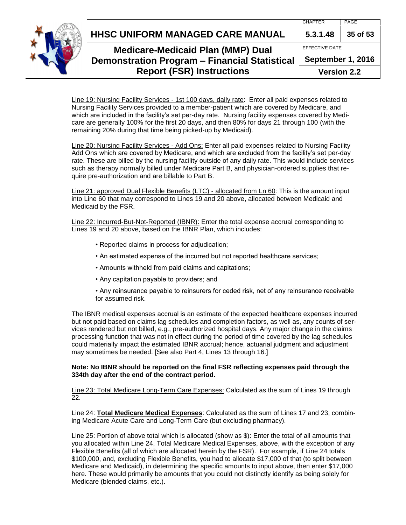**HHSC UNIFORM MANAGED CARE MANUAL 5.3.1.48 35 of 53**



## **Medicare-Medicaid Plan (MMP) Dual Demonstration Program – Financial Statistical Report (FSR) Instructions**

EFFECTIVE DATE

**September 1, 2016**

**Version 2.2**

Line 19: Nursing Facility Services - 1st 100 days, daily rate: Enter all paid expenses related to Nursing Facility Services provided to a member-patient which are covered by Medicare, and which are included in the facility's set per-day rate. Nursing facility expenses covered by Medicare are generally 100% for the first 20 days, and then 80% for days 21 through 100 (with the remaining 20% during that time being picked-up by Medicaid).

Line 20: Nursing Facility Services - Add Ons: Enter all paid expenses related to Nursing Facility Add Ons which are covered by Medicare, and which are excluded from the facility's set per-day rate. These are billed by the nursing facility outside of any daily rate. This would include services such as therapy normally billed under Medicare Part B, and physician-ordered supplies that require pre-authorization and are billable to Part B.

Line-21: approved Dual Flexible Benefits (LTC) - allocated from Ln 60: This is the amount input into Line 60 that may correspond to Lines 19 and 20 above, allocated between Medicaid and Medicaid by the FSR.

Line 22: Incurred-But-Not-Reported (IBNR): Enter the total expense accrual corresponding to Lines 19 and 20 above, based on the IBNR Plan, which includes:

- Reported claims in process for adjudication;
- An estimated expense of the incurred but not reported healthcare services;
- Amounts withheld from paid claims and capitations;
- Any capitation payable to providers; and

• Any reinsurance payable to reinsurers for ceded risk, net of any reinsurance receivable for assumed risk.

The IBNR medical expenses accrual is an estimate of the expected healthcare expenses incurred but not paid based on claims lag schedules and completion factors, as well as, any counts of services rendered but not billed, e.g., pre-authorized hospital days. Any major change in the claims processing function that was not in effect during the period of time covered by the lag schedules could materially impact the estimated IBNR accrual; hence, actuarial judgment and adjustment may sometimes be needed. [See also Part 4, Lines 13 through 16.]

#### **Note: No IBNR should be reported on the final FSR reflecting expenses paid through the 334th day after the end of the contract period.**

Line 23: Total Medicare Long-Term Care Expenses: Calculated as the sum of Lines 19 through 22.

Line 24: **Total Medicare Medical Expenses**: Calculated as the sum of Lines 17 and 23, combining Medicare Acute Care and Long-Term Care (but excluding pharmacy).

Line 25: Portion of above total which is allocated (show as \$): Enter the total of all amounts that you allocated within Line 24, Total Medicare Medical Expenses, above, with the exception of any Flexible Benefits (all of which are allocated herein by the FSR). For example, if Line 24 totals \$100,000, and, excluding Flexible Benefits, you had to allocate \$17,000 of that (to split between Medicare and Medicaid), in determining the specific amounts to input above, then enter \$17,000 here. These would primarily be amounts that you could not distinctly identify as being solely for Medicare (blended claims, etc.).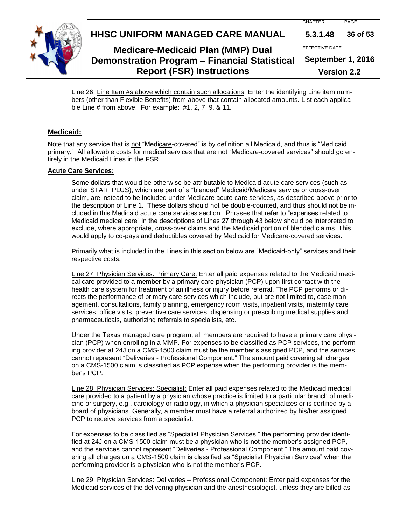



## **Medicare-Medicaid Plan (MMP) Dual Demonstration Program – Financial Statistical**

**Report (FSR) Instructions**

| 5.3.1.48              | 36 of 53 |  |
|-----------------------|----------|--|
| <b>EFFECTIVE DATE</b> |          |  |
| September 1, 2016     |          |  |
| <b>Version 2.2</b>    |          |  |

Line 26: Line Item #s above which contain such allocations: Enter the identifying Line item numbers (other than Flexible Benefits) from above that contain allocated amounts. List each applicable Line # from above. For example: #1, 2, 7, 9, & 11.

#### **Medicaid:**

<span id="page-35-0"></span>Note that any service that is not "Medicare-covered" is by definition all Medicaid, and thus is "Medicaid primary." All allowable costs for medical services that are not "Medicare-covered services" should go entirely in the Medicaid Lines in the FSR.

#### **Acute Care Services:**

Some dollars that would be otherwise be attributable to Medicaid acute care services (such as under STAR+PLUS), which are part of a "blended" Medicaid/Medicare service or cross-over claim, are instead to be included under Medicare acute care services, as described above prior to the description of Line 1. These dollars should not be double-counted, and thus should not be included in this Medicaid acute care services section. Phrases that refer to "expenses related to Medicaid medical care" in the descriptions of Lines 27 through 43 below should be interpreted to exclude, where appropriate, cross-over claims and the Medicaid portion of blended claims. This would apply to co-pays and deductibles covered by Medicaid for Medicare-covered services.

Primarily what is included in the Lines in this section below are "Medicaid-only" services and their respective costs.

Line 27: Physician Services: Primary Care: Enter all paid expenses related to the Medicaid medical care provided to a member by a primary care physician (PCP) upon first contact with the health care system for treatment of an illness or injury before referral. The PCP performs or directs the performance of primary care services which include, but are not limited to, case management, consultations, family planning, emergency room visits, inpatient visits, maternity care services, office visits, preventive care services, dispensing or prescribing medical supplies and pharmaceuticals, authorizing referrals to specialists, etc.

Under the Texas managed care program, all members are required to have a primary care physician (PCP) when enrolling in a MMP. For expenses to be classified as PCP services, the performing provider at 24J on a CMS-1500 claim must be the member's assigned PCP, and the services cannot represent "Deliveries - Professional Component." The amount paid covering all charges on a CMS-1500 claim is classified as PCP expense when the performing provider is the member's PCP.

Line 28: Physician Services: Specialist: Enter all paid expenses related to the Medicaid medical care provided to a patient by a physician whose practice is limited to a particular branch of medicine or surgery, e.g., cardiology or radiology, in which a physician specializes or is certified by a board of physicians. Generally, a member must have a referral authorized by his/her assigned PCP to receive services from a specialist.

For expenses to be classified as "Specialist Physician Services," the performing provider identified at 24J on a CMS-1500 claim must be a physician who is not the member's assigned PCP, and the services cannot represent "Deliveries - Professional Component." The amount paid covering all charges on a CMS-1500 claim is classified as "Specialist Physician Services" when the performing provider is a physician who is not the member's PCP.

Line 29: Physician Services: Deliveries – Professional Component: Enter paid expenses for the Medicaid services of the delivering physician and the anesthesiologist, unless they are billed as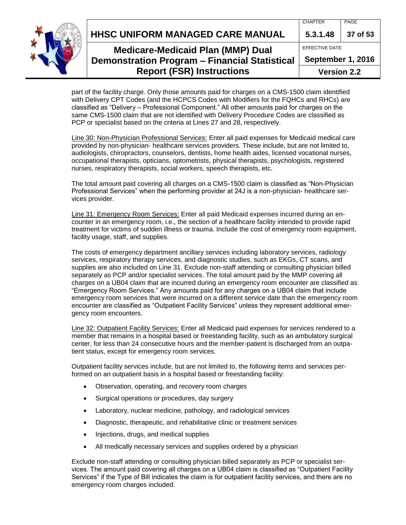**HHSC UNIFORM MANAGED CARE MANUAL 5.3.1.48 37 of 53**



## **Medicare-Medicaid Plan (MMP) Dual Demonstration Program – Financial Statistical Report (FSR) Instructions**

EFFECTIVE DATE **September 1, 2016**

**Version 2.2**

part of the facility charge. Only those amounts paid for charges on a CMS-1500 claim identified with Delivery CPT Codes (and the HCPCS Codes with Modifiers for the FQHCs and RHCs) are classified as "Delivery – Professional Component." All other amounts paid for charges on the same CMS-1500 claim that are not identified with Delivery Procedure Codes are classified as PCP or specialist based on the criteria at Lines 27 and 28, respectively.

Line 30: Non-Physician Professional Services: Enter all paid expenses for Medicaid medical care provided by non-physician- healthcare services providers. These include, but are not limited to, audiologists, chiropractors, counselors, dentists, home health aides, licensed vocational nurses, occupational therapists, opticians, optometrists, physical therapists, psychologists, registered nurses, respiratory therapists, social workers, speech therapists, etc.

The total amount paid covering all charges on a CMS-1500 claim is classified as "Non-Physician Professional Services" when the performing provider at 24J is a non-physician- healthcare services provider.

Line 31: Emergency Room Services: Enter all paid Medicaid expenses incurred during an encounter in an emergency room, i.e., the section of a healthcare facility intended to provide rapid treatment for victims of sudden illness or trauma. Include the cost of emergency room equipment, facility usage, staff, and supplies.

The costs of emergency department ancillary services including laboratory services, radiology services, respiratory therapy services, and diagnostic studies, such as EKGs, CT scans, and supplies are also included on Line 31. Exclude non-staff attending or consulting physician billed separately as PCP and/or specialist services. The total amount paid by the MMP covering all charges on a UB04 claim that are incurred during an emergency room encounter are classified as "Emergency Room Services." Any amounts paid for any charges on a UB04 claim that include emergency room services that were incurred on a different service date than the emergency room encounter are classified as "Outpatient Facility Services" unless they represent additional emergency room encounters.

Line 32: Outpatient Facility Services: Enter all Medicaid paid expenses for services rendered to a member that remains in a hospital based or freestanding facility, such as an ambulatory surgical center, for less than 24 consecutive hours and the member-patient is discharged from an outpatient status, except for emergency room services.

Outpatient facility services include, but are not limited to, the following items and services performed on an outpatient basis in a hospital based or freestanding facility:

- Observation, operating, and recovery room charges
- Surgical operations or procedures, day surgery
- Laboratory, nuclear medicine, pathology, and radiological services
- Diagnostic, therapeutic, and rehabilitative clinic or treatment services
- Injections, drugs, and medical supplies
- All medically necessary services and supplies ordered by a physician

Exclude non-staff attending or consulting physician billed separately as PCP or specialist services. The amount paid covering all charges on a UB04 claim is classified as "Outpatient Facility Services" if the Type of Bill indicates the claim is for outpatient facility services, and there are no emergency room charges included.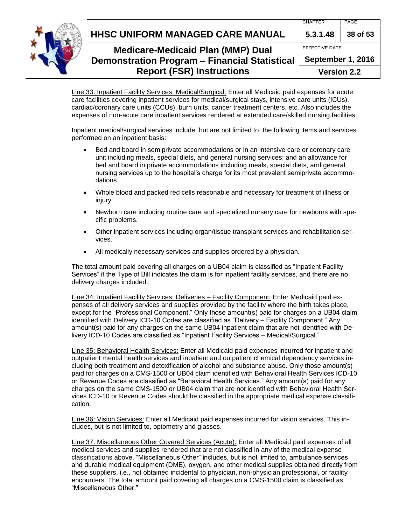**HHSC UNIFORM MANAGED CARE MANUAL 5.3.1.48 38 of 53**



## **Medicare-Medicaid Plan (MMP) Dual Demonstration Program – Financial Statistical Report (FSR) Instructions**

EFFECTIVE DATE

**September 1, 2016**

**Version 2.2**

Line 33: Inpatient Facility Services: Medical/Surgical: Enter all Medicaid paid expenses for acute care facilities covering inpatient services for medical/surgical stays, intensive care units (ICUs), cardiac/coronary care units (CCUs), burn units, cancer treatment centers, etc. Also includes the expenses of non-acute care inpatient services rendered at extended care/skilled nursing facilities.

Inpatient medical/surgical services include, but are not limited to, the following items and services performed on an inpatient basis:

- Bed and board in semiprivate accommodations or in an intensive care or coronary care unit including meals, special diets, and general nursing services; and an allowance for bed and board in private accommodations including meals, special diets, and general nursing services up to the hospital's charge for its most prevalent semiprivate accommodations.
- Whole blood and packed red cells reasonable and necessary for treatment of illness or injury.
- Newborn care including routine care and specialized nursery care for newborns with specific problems.
- Other inpatient services including organ/tissue transplant services and rehabilitation services.
- All medically necessary services and supplies ordered by a physician.

The total amount paid covering all charges on a UB04 claim is classified as "Inpatient Facility Services" if the Type of Bill indicates the claim is for inpatient facility services, and there are no delivery charges included.

Line 34: Inpatient Facility Services: Deliveries – Facility Component: Enter Medicaid paid expenses of all delivery services and supplies provided by the facility where the birth takes place, except for the "Professional Component." Only those amount(s) paid for charges on a UB04 claim identified with Delivery ICD-10 Codes are classified as "Delivery – Facility Component." Any amount(s) paid for any charges on the same UB04 inpatient claim that are not identified with Delivery ICD-10 Codes are classified as "Inpatient Facility Services – Medical/Surgical."

Line 35: Behavioral Health Services: Enter all Medicaid paid expenses incurred for inpatient and outpatient mental health services and inpatient and outpatient chemical dependency services including both treatment and detoxification of alcohol and substance abuse. Only those amount(s) paid for charges on a CMS-1500 or UB04 claim identified with Behavioral Health Services ICD-10 or Revenue Codes are classified as "Behavioral Health Services." Any amount(s) paid for any charges on the same CMS-1500 or UB04 claim that are not identified with Behavioral Health Services ICD-10 or Revenue Codes should be classified in the appropriate medical expense classification.

Line 36: Vision Services: Enter all Medicaid paid expenses incurred for vision services. This includes, but is not limited to, optometry and glasses.

Line 37: Miscellaneous Other Covered Services (Acute): Enter all Medicaid paid expenses of all medical services and supplies rendered that are not classified in any of the medical expense classifications above. "Miscellaneous Other" includes, but is not limited to, ambulance services and durable medical equipment (DME), oxygen, and other medical supplies obtained directly from these suppliers, i.e., not obtained incidental to physician, non-physician professional, or facility encounters. The total amount paid covering all charges on a CMS-1500 claim is classified as "Miscellaneous Other."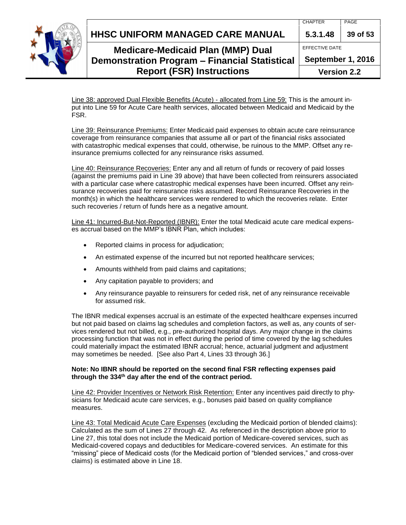**HHSC UNIFORM MANAGED CARE MANUAL 5.3.1.48 39 of 53**



## **Medicare-Medicaid Plan (MMP) Dual Demonstration Program – Financial Statistical Report (FSR) Instructions**

| 5.3.1.48              | 39 of 53 |  |
|-----------------------|----------|--|
| <b>FFFFCTIVE DATE</b> |          |  |
| September 1, 2016     |          |  |
| <b>Version 2.2</b>    |          |  |

Line 38: approved Dual Flexible Benefits (Acute) - allocated from Line 59: This is the amount input into Line 59 for Acute Care health services, allocated between Medicaid and Medicaid by the FSR.

Line 39: Reinsurance Premiums: Enter Medicaid paid expenses to obtain acute care reinsurance coverage from reinsurance companies that assume all or part of the financial risks associated with catastrophic medical expenses that could, otherwise, be ruinous to the MMP. Offset any reinsurance premiums collected for any reinsurance risks assumed.

Line 40: Reinsurance Recoveries: Enter any and all return of funds or recovery of paid losses (against the premiums paid in Line 39 above) that have been collected from reinsurers associated with a particular case where catastrophic medical expenses have been incurred. Offset any reinsurance recoveries paid for reinsurance risks assumed. Record Reinsurance Recoveries in the month(s) in which the healthcare services were rendered to which the recoveries relate. Enter such recoveries / return of funds here as a negative amount.

Line 41: Incurred-But-Not-Reported (IBNR): Enter the total Medicaid acute care medical expenses accrual based on the MMP's IBNR Plan, which includes:

- Reported claims in process for adjudication;
- An estimated expense of the incurred but not reported healthcare services;
- Amounts withheld from paid claims and capitations;
- Any capitation payable to providers; and
- Any reinsurance payable to reinsurers for ceded risk, net of any reinsurance receivable for assumed risk.

The IBNR medical expenses accrual is an estimate of the expected healthcare expenses incurred but not paid based on claims lag schedules and completion factors, as well as, any counts of services rendered but not billed, e.g., pre-authorized hospital days. Any major change in the claims processing function that was not in effect during the period of time covered by the lag schedules could materially impact the estimated IBNR accrual; hence, actuarial judgment and adjustment may sometimes be needed. [See also Part 4, Lines 33 through 36.]

#### **Note: No IBNR should be reported on the second final FSR reflecting expenses paid through the 334th day after the end of the contract period.**

Line 42: Provider Incentives or Network Risk Retention: Enter any incentives paid directly to physicians for Medicaid acute care services, e.g., bonuses paid based on quality compliance measures.

Line 43: Total Medicaid Acute Care Expenses (excluding the Medicaid portion of blended claims): Calculated as the sum of Lines 27 through 42. As referenced in the description above prior to Line 27, this total does not include the Medicaid portion of Medicare-covered services, such as Medicaid-covered copays and deductibles for Medicare-covered services. An estimate for this "missing" piece of Medicaid costs (for the Medicaid portion of "blended services," and cross-over claims) is estimated above in Line 18.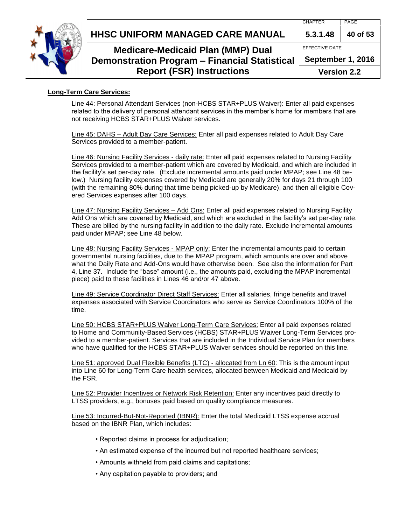

EFFECTIVE DATE





## **Medicare-Medicaid Plan (MMP) Dual Demonstration Program – Financial Statistical Report (FSR) Instructions**

**September 1, 2016**

**Version 2.2**

#### <span id="page-39-0"></span>**Long-Term Care Services:**

Line 44: Personal Attendant Services (non-HCBS STAR+PLUS Waiver): Enter all paid expenses related to the delivery of personal attendant services in the member's home for members that are not receiving HCBS STAR+PLUS Waiver services.

Line 45: DAHS – Adult Day Care Services: Enter all paid expenses related to Adult Day Care Services provided to a member-patient.

Line 46: Nursing Facility Services - daily rate: Enter all paid expenses related to Nursing Facility Services provided to a member-patient which are covered by Medicaid, and which are included in the facility's set per-day rate. (Exclude incremental amounts paid under MPAP; see Line 48 below.) Nursing facility expenses covered by Medicaid are generally 20% for days 21 through 100 (with the remaining 80% during that time being picked-up by Medicare), and then all eligible Covered Services expenses after 100 days.

Line 47: Nursing Facility Services – Add Ons: Enter all paid expenses related to Nursing Facility Add Ons which are covered by Medicaid, and which are excluded in the facility's set per-day rate. These are billed by the nursing facility in addition to the daily rate. Exclude incremental amounts paid under MPAP; see Line 48 below.

Line 48: Nursing Facility Services - MPAP only: Enter the incremental amounts paid to certain governmental nursing facilities, due to the MPAP program, which amounts are over and above what the Daily Rate and Add-Ons would have otherwise been. See also the information for Part 4, Line 37. Include the "base" amount (i.e., the amounts paid, excluding the MPAP incremental piece) paid to these facilities in Lines 46 and/or 47 above.

Line 49: Service Coordinator Direct Staff Services: Enter all salaries, fringe benefits and travel expenses associated with Service Coordinators who serve as Service Coordinators 100% of the time.

Line 50: HCBS STAR+PLUS Waiver Long-Term Care Services: Enter all paid expenses related to Home and Community-Based Services (HCBS) STAR+PLUS Waiver Long-Term Services provided to a member-patient. Services that are included in the Individual Service Plan for members who have qualified for the HCBS STAR+PLUS Waiver services should be reported on this line.

Line 51: approved Dual Flexible Benefits (LTC) - allocated from Ln 60: This is the amount input into Line 60 for Long-Term Care health services, allocated between Medicaid and Medicaid by the FSR.

Line 52: Provider Incentives or Network Risk Retention: Enter any incentives paid directly to LTSS providers, e.g., bonuses paid based on quality compliance measures.

Line 53: Incurred-But-Not-Reported (IBNR): Enter the total Medicaid LTSS expense accrual based on the IBNR Plan, which includes:

- Reported claims in process for adjudication;
- An estimated expense of the incurred but not reported healthcare services;
- Amounts withheld from paid claims and capitations;
- Any capitation payable to providers; and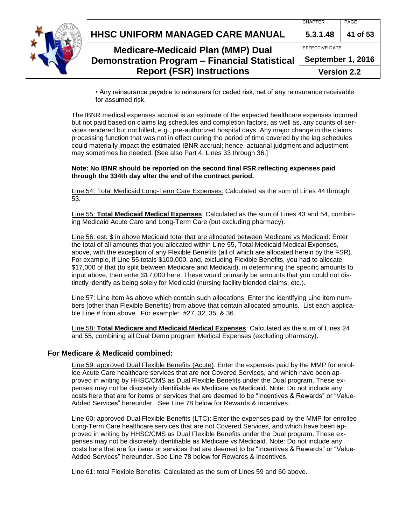|  | <b>Report (FSR) Instructions</b>                     | <b>Version 2.2</b> |          |
|--|------------------------------------------------------|--------------------|----------|
|  | <b>Demonstration Program - Financial Statistical</b> | September 1, 2016  |          |
|  | <b>Medicare-Medicaid Plan (MMP) Dual</b>             | EFFECTIVE DATE     |          |
|  | HHSC UNIFORM MANAGED CARE MANUAL                     | 5.3.1.48           | 41 of 53 |
|  |                                                      | <b>CHAPTER</b>     | PAGE     |

• Any reinsurance payable to reinsurers for ceded risk, net of any reinsurance receivable for assumed risk.

The IBNR medical expenses accrual is an estimate of the expected healthcare expenses incurred but not paid based on claims lag schedules and completion factors, as well as, any counts of services rendered but not billed, e.g., pre-authorized hospital days. Any major change in the claims processing function that was not in effect during the period of time covered by the lag schedules could materially impact the estimated IBNR accrual; hence, actuarial judgment and adjustment may sometimes be needed. [See also Part 4, Lines 33 through 36.]

#### **Note: No IBNR should be reported on the second final FSR reflecting expenses paid through the 334th day after the end of the contract period.**

Line 54: Total Medicaid Long-Term Care Expenses: Calculated as the sum of Lines 44 through 53.

Line 55: **Total Medicaid Medical Expenses**: Calculated as the sum of Lines 43 and 54, combining Medicaid Acute Care and Long-Term Care (but excluding pharmacy).

Line 56: est. \$ in above Medicaid total that are allocated between Medicare vs Medicaid: Enter the total of all amounts that you allocated within Line 55, Total Medicaid Medical Expenses, above, with the exception of any Flexible Benefits (all of which are allocated herein by the FSR). For example, if Line 55 totals \$100,000, and, excluding Flexible Benefits, you had to allocate \$17,000 of that (to split between Medicare and Medicaid), in determining the specific amounts to input above, then enter \$17,000 here. These would primarily be amounts that you could not distinctly identify as being solely for Medicaid (nursing facility blended claims, etc.).

Line 57: Line Item #s above which contain such allocations: Enter the identifying Line item numbers (other than Flexible Benefits) from above that contain allocated amounts. List each applicable Line # from above. For example: #27, 32, 35, & 36.

Line 58: **Total Medicare and Medicaid Medical Expenses**: Calculated as the sum of Lines 24 and 55, combining all Dual Demo program Medical Expenses (excluding pharmacy).

#### <span id="page-40-0"></span>**For Medicare & Medicaid combined:**

Line 59: approved Dual Flexible Benefits (Acute): Enter the expenses paid by the MMP for enrollee Acute Care healthcare services that are not Covered Services, and which have been approved in writing by HHSC/CMS as Dual Flexible Benefits under the Dual program. These expenses may not be discretely identifiable as Medicare vs Medicaid. Note: Do not include any costs here that are for items or services that are deemed to be "Incentives & Rewards" or "Value-Added Services" hereunder. See Line 78 below for Rewards & Incentives.

Line 60: approved Dual Flexible Benefits (LTC): Enter the expenses paid by the MMP for enrollee Long-Term Care healthcare services that are not Covered Services, and which have been approved in writing by HHSC/CMS as Dual Flexible Benefits under the Dual program. These expenses may not be discretely identifiable as Medicare vs Medicaid. Note: Do not include any costs here that are for items or services that are deemed to be "Incentives & Rewards" or "Value-Added Services" hereunder. See Line 78 below for Rewards & Incentives.

Line 61: total Flexible Benefits: Calculated as the sum of Lines 59 and 60 above.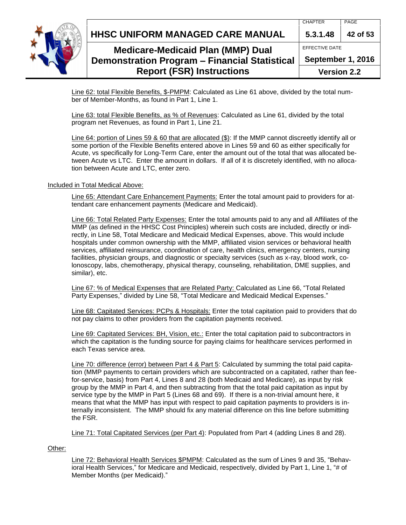



## **Medicare-Medicaid Plan (MMP) Dual Demonstration Program – Financial Statistical Report (FSR) Instructions**

EFFECTIVE DATE **September 1, 2016**

**Version 2.2**

Line 62: total Flexible Benefits, \$-PMPM: Calculated as Line 61 above, divided by the total number of Member-Months, as found in Part 1, Line 1.

Line 63: total Flexible Benefits, as % of Revenues: Calculated as Line 61, divided by the total program net Revenues, as found in Part 1, Line 21.

Line 64: portion of Lines 59 & 60 that are allocated (\$): If the MMP cannot discreetly identify all or some portion of the Flexible Benefits entered above in Lines 59 and 60 as either specifically for Acute, vs specifically for Long-Term Care, enter the amount out of the total that was allocated between Acute vs LTC. Enter the amount in dollars. If all of it is discretely identified, with no allocation between Acute and LTC, enter zero.

#### Included in Total Medical Above:

Line 65: Attendant Care Enhancement Payments: Enter the total amount paid to providers for attendant care enhancement payments (Medicare and Medicaid).

Line 66: Total Related Party Expenses: Enter the total amounts paid to any and all Affiliates of the MMP (as defined in the HHSC Cost Principles) wherein such costs are included, directly or indirectly, in Line 58, Total Medicare and Medicaid Medical Expenses, above. This would include hospitals under common ownership with the MMP, affiliated vision services or behavioral health services, affiliated reinsurance, coordination of care, health clinics, emergency centers, nursing facilities, physician groups, and diagnostic or specialty services (such as x-ray, blood work, colonoscopy, labs, chemotherapy, physical therapy, counseling, rehabilitation, DME supplies, and similar), etc.

Line 67: % of Medical Expenses that are Related Party: Calculated as Line 66, "Total Related Party Expenses," divided by Line 58, "Total Medicare and Medicaid Medical Expenses."

Line 68: Capitated Services: PCPs & Hospitals: Enter the total capitation paid to providers that do not pay claims to other providers from the capitation payments received.

Line 69: Capitated Services: BH, Vision, etc.: Enter the total capitation paid to subcontractors in which the capitation is the funding source for paying claims for healthcare services performed in each Texas service area.

Line 70: difference (error) between Part 4 & Part 5: Calculated by summing the total paid capitation (MMP payments to certain providers which are subcontracted on a capitated, rather than feefor-service, basis) from Part 4, Lines 8 and 28 (both Medicaid and Medicare), as input by risk group by the MMP in Part 4, and then subtracting from that the total paid capitation as input by service type by the MMP in Part 5 (Lines 68 and 69). If there is a non-trivial amount here, it means that what the MMP has input with respect to paid capitation payments to providers is internally inconsistent. The MMP should fix any material difference on this line before submitting the FSR.

Line 71: Total Capitated Services (per Part 4): Populated from Part 4 (adding Lines 8 and 28).

Other:

Line 72: Behavioral Health Services \$PMPM: Calculated as the sum of Lines 9 and 35, "Behavioral Health Services," for Medicare and Medicaid, respectively, divided by Part 1, Line 1, "# of Member Months (per Medicaid)."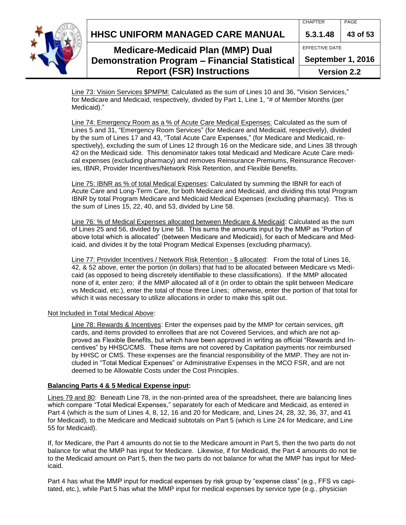**HHSC UNIFORM MANAGED CARE MANUAL 5.3.1.48 43 of 53**



## **Medicare-Medicaid Plan (MMP) Dual Demonstration Program – Financial Statistical Report (FSR) Instructions**

| 5.3.1.48              | 43 of 53 |  |
|-----------------------|----------|--|
| <b>FFFFCTIVE DATE</b> |          |  |
| September 1, 2016     |          |  |
| <b>Version 2.2</b>    |          |  |

Line 73: Vision Services \$PMPM: Calculated as the sum of Lines 10 and 36, "Vision Services," for Medicare and Medicaid, respectively, divided by Part 1, Line 1, "# of Member Months (per Medicaid)."

Line 74: Emergency Room as a % of Acute Care Medical Expenses: Calculated as the sum of Lines 5 and 31, "Emergency Room Services" (for Medicare and Medicaid, respectively), divided by the sum of Lines 17 and 43, "Total Acute Care Expenses," (for Medicare and Medicaid, respectively), excluding the sum of Lines 12 through 16 on the Medicare side, and Lines 38 through 42 on the Medicaid side. This denominator takes total Medicaid and Medicare Acute Care medical expenses (excluding pharmacy) and removes Reinsurance Premiums, Reinsurance Recoveries, IBNR, Provider Incentives/Network Risk Retention, and Flexible Benefits.

Line 75: IBNR as % of total Medical Expenses: Calculated by summing the IBNR for each of Acute Care and Long-Term Care, for both Medicare and Medicaid, and dividing this total Program IBNR by total Program Medicare and Medicaid Medical Expenses (excluding pharmacy). This is the sum of Lines 15, 22, 40, and 53, divided by Line 58.

Line 76: % of Medical Expenses allocated between Medicare & Medicaid: Calculated as the sum of Lines 25 and 56, divided by Line 58. This sums the amounts input by the MMP as "Portion of above total which is allocated" (between Medicare and Medicaid), for each of Medicare and Medicaid, and divides it by the total Program Medical Expenses (excluding pharmacy).

Line 77: Provider Incentives / Network Risk Retention - \$ allocated: From the total of Lines 16, 42, & 52 above, enter the portion (in dollars) that had to be allocated between Medicare vs Medicaid (as opposed to being discretely identifiable to these classifications). If the MMP allocated none of it, enter zero; if the MMP allocated all of it (in order to obtain the split between Medicare vs Medicaid, etc.), enter the total of those three Lines; otherwise, enter the portion of that total for which it was necessary to utilize allocations in order to make this split out.

### Not Included in Total Medical Above:

Line 78: Rewards & Incentives: Enter the expenses paid by the MMP for certain services, gift cards, and items provided to enrollees that are not Covered Services, and which are not approved as Flexible Benefits, but which have been approved in writing as official "Rewards and Incentives" by HHSC/CMS. These items are not covered by Capitation payments nor reimbursed by HHSC or CMS. These expenses are the financial responsibility of the MMP. They are not included in "Total Medical Expenses" or Administrative Expenses in the MCO FSR, and are not deemed to be Allowable Costs under the Cost Principles.

### <span id="page-42-0"></span>**Balancing Parts 4 & 5 Medical Expense input:**

Lines 79 and 80: Beneath Line 78, in the non-printed area of the spreadsheet, there are balancing lines which compare "Total Medical Expenses," separately for each of Medicare and Medicaid, as entered in Part 4 (which is the sum of Lines 4, 8, 12, 16 and 20 for Medicare, and, Lines 24, 28, 32, 36, 37, and 41 for Medicaid), to the Medicare and Medicaid subtotals on Part 5 (which is Line 24 for Medicare, and Line 55 for Medicaid).

If, for Medicare, the Part 4 amounts do not tie to the Medicare amount in Part 5, then the two parts do not balance for what the MMP has input for Medicare. Likewise, if for Medicaid, the Part 4 amounts do not tie to the Medicaid amount on Part 5, then the two parts do not balance for what the MMP has input for Medicaid.

Part 4 has what the MMP input for medical expenses by risk group by "expense class" (e.g., FFS vs capitated, etc.), while Part 5 has what the MMP input for medical expenses by service type (e.g., physician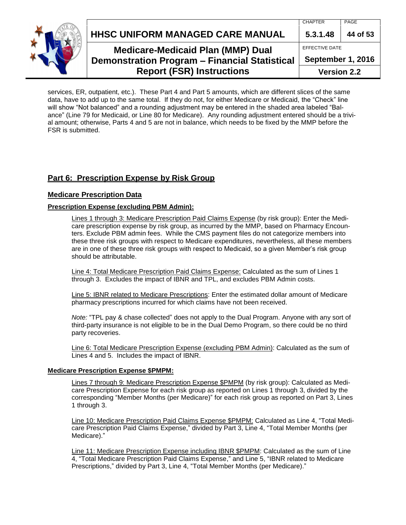**HHSC UNIFORM MANAGED CARE MANUAL 5.3.1.48 44 of 53**



## **Medicare-Medicaid Plan (MMP) Dual Demonstration Program – Financial Statistical Report (FSR) Instructions**

| 5.3.1.48              | 44 of 53 |  |  |
|-----------------------|----------|--|--|
| <b>FFFFCTIVE DATE</b> |          |  |  |
| September 1, 2016     |          |  |  |
| <b>Version 2.2</b>    |          |  |  |

services, ER, outpatient, etc.). These Part 4 and Part 5 amounts, which are different slices of the same data, have to add up to the same total. If they do not, for either Medicare or Medicaid, the "Check" line will show "Not balanced" and a rounding adjustment may be entered in the shaded area labeled "Balance" (Line 79 for Medicaid, or Line 80 for Medicare). Any rounding adjustment entered should be a trivial amount; otherwise, Parts 4 and 5 are not in balance, which needs to be fixed by the MMP before the FSR is submitted.

## <span id="page-43-0"></span>**Part 6: Prescription Expense by Risk Group**

#### <span id="page-43-1"></span>**Medicare Prescription Data**

#### **Prescription Expense (excluding PBM Admin):**

Lines 1 through 3: Medicare Prescription Paid Claims Expense (by risk group): Enter the Medicare prescription expense by risk group, as incurred by the MMP, based on Pharmacy Encounters. Exclude PBM admin fees. While the CMS payment files do not categorize members into these three risk groups with respect to Medicare expenditures, nevertheless, all these members are in one of these three risk groups with respect to Medicaid, so a given Member's risk group should be attributable.

Line 4: Total Medicare Prescription Paid Claims Expense: Calculated as the sum of Lines 1 through 3. Excludes the impact of IBNR and TPL, and excludes PBM Admin costs.

Line 5: IBNR related to Medicare Prescriptions: Enter the estimated dollar amount of Medicare pharmacy prescriptions incurred for which claims have not been received.

*Note:* "TPL pay & chase collected" does not apply to the Dual Program. Anyone with any sort of third-party insurance is not eligible to be in the Dual Demo Program, so there could be no third party recoveries.

Line 6: Total Medicare Prescription Expense (excluding PBM Admin): Calculated as the sum of Lines 4 and 5. Includes the impact of IBNR.

#### **Medicare Prescription Expense \$PMPM:**

Lines 7 through 9: Medicare Prescription Expense \$PMPM (by risk group): Calculated as Medicare Prescription Expense for each risk group as reported on Lines 1 through 3, divided by the corresponding "Member Months (per Medicare)" for each risk group as reported on Part 3, Lines 1 through 3.

Line 10: Medicare Prescription Paid Claims Expense \$PMPM: Calculated as Line 4, "Total Medicare Prescription Paid Claims Expense," divided by Part 3, Line 4, "Total Member Months (per Medicare)."

Line 11: Medicare Prescription Expense including IBNR \$PMPM: Calculated as the sum of Line 4, "Total Medicare Prescription Paid Claims Expense," and Line 5, "IBNR related to Medicare Prescriptions," divided by Part 3, Line 4, "Total Member Months (per Medicare)."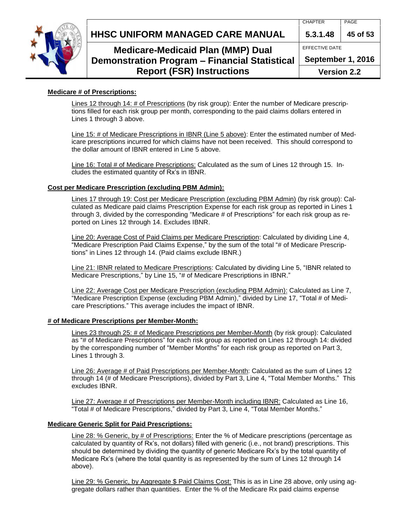

## **Medicare-Medicaid Plan (MMP) Dual Demonstration Program – Financial Statistical Report (FSR) Instructions**

EFFECTIVE DATE

**September 1, 2016**

**Version 2.2**

### **Medicare # of Prescriptions:**

Lines 12 through 14: # of Prescriptions (by risk group): Enter the number of Medicare prescriptions filled for each risk group per month, corresponding to the paid claims dollars entered in Lines 1 through 3 above.

Line 15: # of Medicare Prescriptions in IBNR (Line 5 above): Enter the estimated number of Medicare prescriptions incurred for which claims have not been received. This should correspond to the dollar amount of IBNR entered in Line 5 above.

Line 16: Total # of Medicare Prescriptions: Calculated as the sum of Lines 12 through 15. Includes the estimated quantity of Rx's in IBNR.

### **Cost per Medicare Prescription (excluding PBM Admin):**

Lines 17 through 19: Cost per Medicare Prescription (excluding PBM Admin) (by risk group): Calculated as Medicare paid claims Prescription Expense for each risk group as reported in Lines 1 through 3, divided by the corresponding "Medicare # of Prescriptions" for each risk group as reported on Lines 12 through 14. Excludes IBNR.

Line 20: Average Cost of Paid Claims per Medicare Prescription: Calculated by dividing Line 4, "Medicare Prescription Paid Claims Expense," by the sum of the total "# of Medicare Prescriptions" in Lines 12 through 14. (Paid claims exclude IBNR.)

Line 21: IBNR related to Medicare Prescriptions: Calculated by dividing Line 5, "IBNR related to Medicare Prescriptions," by Line 15, "# of Medicare Prescriptions in IBNR."

Line 22: Average Cost per Medicare Prescription (excluding PBM Admin): Calculated as Line 7, "Medicare Prescription Expense (excluding PBM Admin)," divided by Line 17, "Total # of Medicare Prescriptions." This average includes the impact of IBNR.

### **# of Medicare Prescriptions per Member-Month:**

Lines 23 through 25: # of Medicare Prescriptions per Member-Month (by risk group): Calculated as "# of Medicare Prescriptions" for each risk group as reported on Lines 12 through 14: divided by the corresponding number of "Member Months" for each risk group as reported on Part 3, Lines 1 through 3.

Line 26: Average # of Paid Prescriptions per Member-Month: Calculated as the sum of Lines 12 through 14 (# of Medicare Prescriptions), divided by Part 3, Line 4, "Total Member Months." This excludes IBNR.

Line 27: Average # of Prescriptions per Member-Month including IBNR: Calculated as Line 16, "Total # of Medicare Prescriptions," divided by Part 3, Line 4, "Total Member Months."

### **Medicare Generic Split for Paid Prescriptions:**

Line 28: % Generic, by # of Prescriptions: Enter the % of Medicare prescriptions (percentage as calculated by quantity of Rx's, not dollars) filled with generic (i.e., not brand) prescriptions. This should be determined by dividing the quantity of generic Medicare Rx's by the total quantity of Medicare Rx's (where the total quantity is as represented by the sum of Lines 12 through 14 above).

Line 29: % Generic, by Aggregate \$ Paid Claims Cost: This is as in Line 28 above, only using aggregate dollars rather than quantities. Enter the % of the Medicare Rx paid claims expense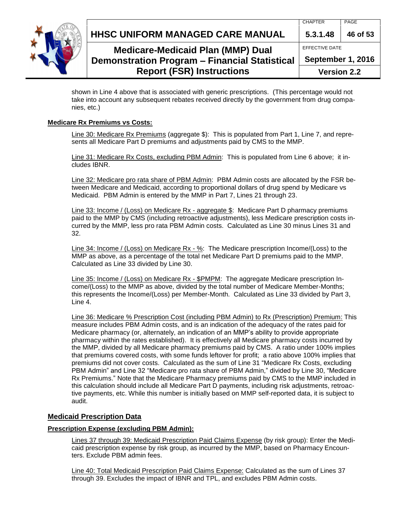**HHSC UNIFORM MANAGED CARE MANUAL 5.3.1.48 46 of 53**



## **Medicare-Medicaid Plan (MMP) Dual Demonstration Program – Financial Statistical Report (FSR) Instructions**

EFFECTIVE DATE

**September 1, 2016**

**Version 2.2**

shown in Line 4 above that is associated with generic prescriptions. (This percentage would not take into account any subsequent rebates received directly by the government from drug companies, etc.)

#### <span id="page-45-0"></span>**Medicare Rx Premiums vs Costs:**

Line 30: Medicare Rx Premiums (aggregate \$): This is populated from Part 1, Line 7, and represents all Medicare Part D premiums and adjustments paid by CMS to the MMP.

Line 31: Medicare Rx Costs, excluding PBM Admin: This is populated from Line 6 above; it includes IBNR.

Line 32: Medicare pro rata share of PBM Admin: PBM Admin costs are allocated by the FSR between Medicare and Medicaid, according to proportional dollars of drug spend by Medicare vs Medicaid. PBM Admin is entered by the MMP in Part 7, Lines 21 through 23.

Line 33: Income / (Loss) on Medicare Rx - aggregate \$: Medicare Part D pharmacy premiums paid to the MMP by CMS (including retroactive adjustments), less Medicare prescription costs incurred by the MMP, less pro rata PBM Admin costs. Calculated as Line 30 minus Lines 31 and 32.

Line 34: Income / (Loss) on Medicare Rx - %: The Medicare prescription Income/(Loss) to the MMP as above, as a percentage of the total net Medicare Part D premiums paid to the MMP. Calculated as Line 33 divided by Line 30.

Line 35: Income / (Loss) on Medicare Rx - \$PMPM: The aggregate Medicare prescription Income/(Loss) to the MMP as above, divided by the total number of Medicare Member-Months; this represents the Income/(Loss) per Member-Month. Calculated as Line 33 divided by Part 3, Line 4.

Line 36: Medicare % Prescription Cost (including PBM Admin) to Rx (Prescription) Premium: This measure includes PBM Admin costs, and is an indication of the adequacy of the rates paid for Medicare pharmacy (or, alternately, an indication of an MMP's ability to provide appropriate pharmacy within the rates established). It is effectively all Medicare pharmacy costs incurred by the MMP, divided by all Medicare pharmacy premiums paid by CMS. A ratio under 100% implies that premiums covered costs, with some funds leftover for profit; a ratio above 100% implies that premiums did not cover costs. Calculated as the sum of Line 31 "Medicare Rx Costs, excluding PBM Admin" and Line 32 "Medicare pro rata share of PBM Admin," divided by Line 30, "Medicare Rx Premiums." Note that the Medicare Pharmacy premiums paid by CMS to the MMP included in this calculation should include all Medicare Part D payments, including risk adjustments, retroactive payments, etc. While this number is initially based on MMP self-reported data, it is subject to audit.

#### <span id="page-45-1"></span>**Medicaid Prescription Data**

#### **Prescription Expense (excluding PBM Admin):**

Lines 37 through 39: Medicaid Prescription Paid Claims Expense (by risk group): Enter the Medicaid prescription expense by risk group, as incurred by the MMP, based on Pharmacy Encounters. Exclude PBM admin fees.

Line 40: Total Medicaid Prescription Paid Claims Expense: Calculated as the sum of Lines 37 through 39. Excludes the impact of IBNR and TPL, and excludes PBM Admin costs.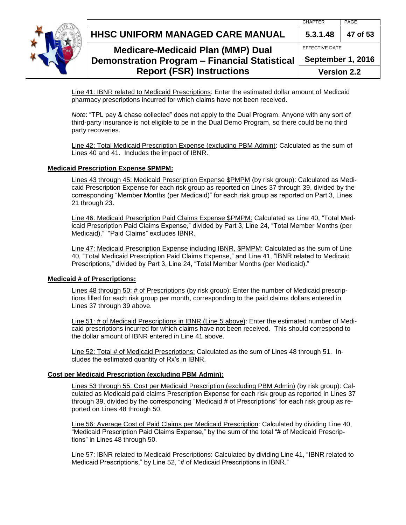



## **Medicare-Medicaid Plan (MMP) Dual Demonstration Program – Financial Statistical Report (FSR) Instructions**

EFFECTIVE DATE **September 1, 2016**

**Version 2.2**

Line 41: IBNR related to Medicaid Prescriptions: Enter the estimated dollar amount of Medicaid pharmacy prescriptions incurred for which claims have not been received.

*Note*: "TPL pay & chase collected" does not apply to the Dual Program. Anyone with any sort of third-party insurance is not eligible to be in the Dual Demo Program, so there could be no third party recoveries.

Line 42: Total Medicaid Prescription Expense (excluding PBM Admin): Calculated as the sum of Lines 40 and 41. Includes the impact of IBNR.

#### **Medicaid Prescription Expense \$PMPM:**

Lines 43 through 45: Medicaid Prescription Expense \$PMPM (by risk group): Calculated as Medicaid Prescription Expense for each risk group as reported on Lines 37 through 39, divided by the corresponding "Member Months (per Medicaid)" for each risk group as reported on Part 3, Lines 21 through 23.

Line 46: Medicaid Prescription Paid Claims Expense \$PMPM: Calculated as Line 40, "Total Medicaid Prescription Paid Claims Expense," divided by Part 3, Line 24, "Total Member Months (per Medicaid)." "Paid Claims" excludes IBNR.

Line 47: Medicaid Prescription Expense including IBNR, \$PMPM: Calculated as the sum of Line 40, "Total Medicaid Prescription Paid Claims Expense," and Line 41, "IBNR related to Medicaid Prescriptions," divided by Part 3, Line 24, "Total Member Months (per Medicaid)."

#### **Medicaid # of Prescriptions:**

Lines 48 through 50: # of Prescriptions (by risk group): Enter the number of Medicaid prescriptions filled for each risk group per month, corresponding to the paid claims dollars entered in Lines 37 through 39 above.

Line 51: # of Medicaid Prescriptions in IBNR (Line 5 above): Enter the estimated number of Medicaid prescriptions incurred for which claims have not been received. This should correspond to the dollar amount of IBNR entered in Line 41 above.

Line 52: Total # of Medicaid Prescriptions: Calculated as the sum of Lines 48 through 51. Includes the estimated quantity of Rx's in IBNR.

### **Cost per Medicaid Prescription (excluding PBM Admin):**

Lines 53 through 55: Cost per Medicaid Prescription (excluding PBM Admin) (by risk group): Calculated as Medicaid paid claims Prescription Expense for each risk group as reported in Lines 37 through 39, divided by the corresponding "Medicaid # of Prescriptions" for each risk group as reported on Lines 48 through 50.

Line 56: Average Cost of Paid Claims per Medicaid Prescription: Calculated by dividing Line 40, "Medicaid Prescription Paid Claims Expense," by the sum of the total "# of Medicaid Prescriptions" in Lines 48 through 50.

Line 57: IBNR related to Medicaid Prescriptions: Calculated by dividing Line 41, "IBNR related to Medicaid Prescriptions," by Line 52, "# of Medicaid Prescriptions in IBNR."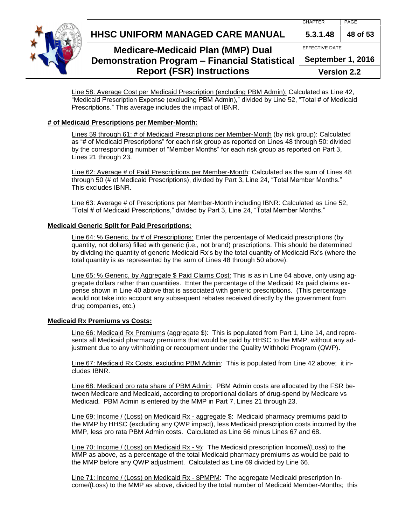**HHSC UNIFORM MANAGED CARE MANUAL 5.3.1.48 48 of 53**



## **Medicare-Medicaid Plan (MMP) Dual Demonstration Program – Financial Statistical Report (FSR) Instructions**

| 5.3.1.48           | 48 of 53 |  |  |  |
|--------------------|----------|--|--|--|
| EFFECTIVE DATE     |          |  |  |  |
| September 1, 2016  |          |  |  |  |
| <b>Version 2.2</b> |          |  |  |  |

Line 58: Average Cost per Medicaid Prescription (excluding PBM Admin): Calculated as Line 42, "Medicaid Prescription Expense (excluding PBM Admin)," divided by Line 52, "Total # of Medicaid Prescriptions." This average includes the impact of IBNR.

### **# of Medicaid Prescriptions per Member-Month:**

Lines 59 through 61: # of Medicaid Prescriptions per Member-Month (by risk group): Calculated as "# of Medicaid Prescriptions" for each risk group as reported on Lines 48 through 50: divided by the corresponding number of "Member Months" for each risk group as reported on Part 3, Lines 21 through 23.

Line 62: Average # of Paid Prescriptions per Member-Month: Calculated as the sum of Lines 48 through 50 (# of Medicaid Prescriptions), divided by Part 3, Line 24, "Total Member Months." This excludes IBNR.

Line 63: Average # of Prescriptions per Member-Month including IBNR: Calculated as Line 52, "Total # of Medicaid Prescriptions," divided by Part 3, Line 24, "Total Member Months."

#### **Medicaid Generic Split for Paid Prescriptions:**

Line 64: % Generic, by # of Prescriptions: Enter the percentage of Medicaid prescriptions (by quantity, not dollars) filled with generic (i.e., not brand) prescriptions. This should be determined by dividing the quantity of generic Medicaid Rx's by the total quantity of Medicaid Rx's (where the total quantity is as represented by the sum of Lines 48 through 50 above).

Line 65: % Generic, by Aggregate \$ Paid Claims Cost: This is as in Line 64 above, only using aggregate dollars rather than quantities. Enter the percentage of the Medicaid Rx paid claims expense shown in Line 40 above that is associated with generic prescriptions. (This percentage would not take into account any subsequent rebates received directly by the government from drug companies, etc.)

### <span id="page-47-0"></span>**Medicaid Rx Premiums vs Costs:**

Line 66: Medicaid Rx Premiums (aggregate \$): This is populated from Part 1, Line 14, and represents all Medicaid pharmacy premiums that would be paid by HHSC to the MMP, without any adjustment due to any withholding or recoupment under the Quality Withhold Program (QWP).

Line 67: Medicaid Rx Costs, excluding PBM Admin: This is populated from Line 42 above; it includes IBNR.

Line 68: Medicaid pro rata share of PBM Admin: PBM Admin costs are allocated by the FSR between Medicare and Medicaid, according to proportional dollars of drug-spend by Medicare vs Medicaid. PBM Admin is entered by the MMP in Part 7, Lines 21 through 23.

Line 69: Income / (Loss) on Medicaid Rx - aggregate \$: Medicaid pharmacy premiums paid to the MMP by HHSC (excluding any QWP impact), less Medicaid prescription costs incurred by the MMP, less pro rata PBM Admin costs. Calculated as Line 66 minus Lines 67 and 68.

Line 70: Income / (Loss) on Medicaid Rx - %: The Medicaid prescription Income/(Loss) to the MMP as above, as a percentage of the total Medicaid pharmacy premiums as would be paid to the MMP before any QWP adjustment. Calculated as Line 69 divided by Line 66.

Line 71: Income / (Loss) on Medicaid Rx - \$PMPM: The aggregate Medicaid prescription Income/(Loss) to the MMP as above, divided by the total number of Medicaid Member-Months; this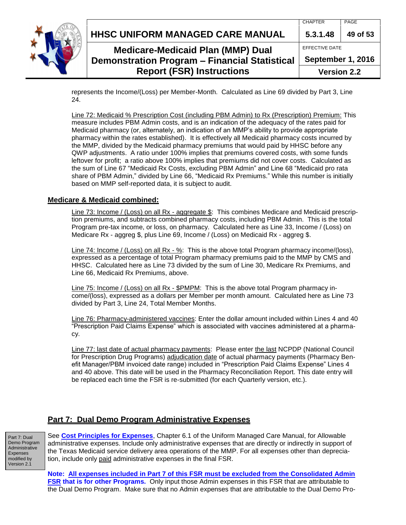|  | <b>Report (FSR) Instructions</b>                     | <b>Version 2.2</b> |          |
|--|------------------------------------------------------|--------------------|----------|
|  | <b>Demonstration Program - Financial Statistical</b> | September 1, 2016  |          |
|  | <b>Medicare-Medicaid Plan (MMP) Dual</b>             | EFFECTIVE DATE     |          |
|  | HHSC UNIFORM MANAGED CARE MANUAL                     | 5.3.1.48           | 49 of 53 |
|  |                                                      | <b>CHAPTER</b>     | PAGE     |

represents the Income/(Loss) per Member-Month. Calculated as Line 69 divided by Part 3, Line 24.

Line 72: Medicaid % Prescription Cost (including PBM Admin) to Rx (Prescription) Premium: This measure includes PBM Admin costs, and is an indication of the adequacy of the rates paid for Medicaid pharmacy (or, alternately, an indication of an MMP's ability to provide appropriate pharmacy within the rates established). It is effectively all Medicaid pharmacy costs incurred by the MMP, divided by the Medicaid pharmacy premiums that would paid by HHSC before any QWP adjustments. A ratio under 100% implies that premiums covered costs, with some funds leftover for profit; a ratio above 100% implies that premiums did not cover costs. Calculated as the sum of Line 67 "Medicaid Rx Costs, excluding PBM Admin" and Line 68 "Medicaid pro rata share of PBM Admin," divided by Line 66, "Medicaid Rx Premiums." While this number is initially based on MMP self-reported data, it is subject to audit.

#### <span id="page-48-0"></span>**Medicare & Medicaid combined:**

Line 73: Income / (Loss) on all Rx - aggregate \$: This combines Medicare and Medicaid prescription premiums, and subtracts combined pharmacy costs, including PBM Admin. This is the total Program pre-tax income, or loss, on pharmacy. Calculated here as Line 33, Income / (Loss) on Medicare Rx - aggreg \$, plus Line 69, Income / (Loss) on Medicaid Rx - aggreg \$.

Line 74: Income / (Loss) on all Rx - %: This is the above total Program pharmacy income/(loss), expressed as a percentage of total Program pharmacy premiums paid to the MMP by CMS and HHSC. Calculated here as Line 73 divided by the sum of Line 30, Medicare Rx Premiums, and Line 66, Medicaid Rx Premiums, above.

Line 75: Income / (Loss) on all Rx - \$PMPM: This is the above total Program pharmacy income/(loss), expressed as a dollars per Member per month amount. Calculated here as Line 73 divided by Part 3, Line 24, Total Member Months.

Line 76: Pharmacy-administered vaccines: Enter the dollar amount included within Lines 4 and 40 "Prescription Paid Claims Expense" which is associated with vaccines administered at a pharmacy.

Line 77: last date of actual pharmacy payments: Please enter the last NCPDP (National Council for Prescription Drug Programs) adjudication date of actual pharmacy payments (Pharmacy Benefit Manager/PBM invoiced date range) included in "Prescription Paid Claims Expense" Lines 4 and 40 above. This date will be used in the Pharmacy Reconciliation Report. This date entry will be replaced each time the FSR is re-submitted (for each Quarterly version, etc.).

#### <span id="page-48-1"></span>**Part 7: Dual Demo Program Administrative Expenses**

Part 7: Dual Demo Program Administrative Expenses modified by Version 2.1

See **[Cost Principles for Expenses](http://www.hhsc.state.tx.us/medicaid/managed-care/umcm/Chp6/6-1.pdf)**, Chapter 6.1 of the Uniform Managed Care Manual, for Allowable administrative expenses. Include only administrative expenses that are directly or indirectly in support of the Texas Medicaid service delivery area operations of the MMP. For all expenses other than depreciation, include only paid administrative expenses in the final FSR.

**Note: All expenses included in Part 7 of this FSR must be excluded from the Consolidated Admin FSR that is for other Programs.** Only input those Admin expenses in this FSR that are attributable to the Dual Demo Program. Make sure that no Admin expenses that are attributable to the Dual Demo Pro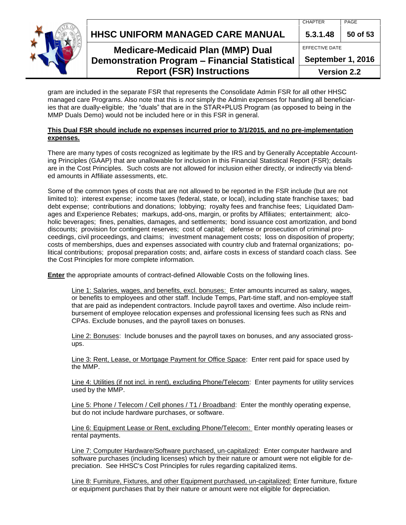**HHSC UNIFORM MANAGED CARE MANUAL 5.3.1.48 50 of 53**



## **Medicare-Medicaid Plan (MMP) Dual Demonstration Program – Financial Statistical**

## **Report (FSR) Instructions**

| EFFECTIVE DATE |  |
|----------------|--|

**September 1, 2016**

**Version 2.2**

gram are included in the separate FSR that represents the Consolidate Admin FSR for all other HHSC managed care Programs. Also note that this is *not* simply the Admin expenses for handling all beneficiaries that are dually-eligible; the "duals" that are in the STAR+PLUS Program (as opposed to being in the MMP Duals Demo) would not be included here or in this FSR in general.

#### **This Dual FSR should include no expenses incurred prior to 3/1/2015, and no pre-implementation expenses.**

There are many types of costs recognized as legitimate by the IRS and by Generally Acceptable Accounting Principles (GAAP) that are unallowable for inclusion in this Financial Statistical Report (FSR); details are in the Cost Principles. Such costs are not allowed for inclusion either directly, or indirectly via blended amounts in Affiliate assessments, etc.

Some of the common types of costs that are not allowed to be reported in the FSR include (but are not limited to): interest expense; income taxes (federal, state, or local), including state franchise taxes; bad debt expense; contributions and donations; lobbying; royalty fees and franchise fees; Liquidated Damages and Experience Rebates; markups, add-ons, margin, or profits by Affiliates; entertainment; alcoholic beverages; fines, penalties, damages, and settlements; bond issuance cost amortization, and bond discounts; provision for contingent reserves; cost of capital; defense or prosecution of criminal proceedings, civil proceedings, and claims; investment management costs; loss on disposition of property; costs of memberships, dues and expenses associated with country club and fraternal organizations; political contributions; proposal preparation costs; and, airfare costs in excess of standard coach class. See the Cost Principles for more complete information.

**Enter** the appropriate amounts of contract-defined Allowable Costs on the following lines.

Line 1: Salaries, wages, and benefits, excl. bonuses: Enter amounts incurred as salary, wages, or benefits to employees and other staff. Include Temps, Part-time staff, and non-employee staff that are paid as independent contractors. Include payroll taxes and overtime. Also include reimbursement of employee relocation expenses and professional licensing fees such as RNs and CPAs. Exclude bonuses, and the payroll taxes on bonuses.

Line 2: Bonuses: Include bonuses and the payroll taxes on bonuses, and any associated grossups.

Line 3: Rent, Lease, or Mortgage Payment for Office Space: Enter rent paid for space used by the MMP.

Line 4: Utilities (if not incl. in rent), excluding Phone/Telecom: Enter payments for utility services used by the MMP.

Line 5: Phone / Telecom / Cell phones / T1 / Broadband: Enter the monthly operating expense, but do not include hardware purchases, or software.

Line 6: Equipment Lease or Rent, excluding Phone/Telecom: Enter monthly operating leases or rental payments.

Line 7: Computer Hardware/Software purchased, un-capitalized: Enter computer hardware and software purchases (including licenses) which by their nature or amount were not eligible for depreciation. See HHSC's Cost Principles for rules regarding capitalized items.

Line 8: Furniture, Fixtures, and other Equipment purchased, un-capitalized: Enter furniture, fixture or equipment purchases that by their nature or amount were not eligible for depreciation.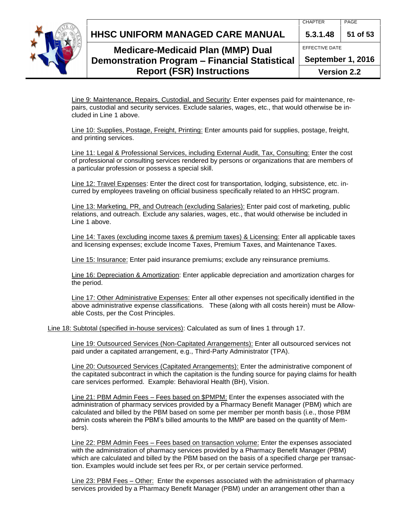**HHSC UNIFORM MANAGED CARE MANUAL 5.3.1.48 51 of 53**



## **Medicare-Medicaid Plan (MMP) Dual Demonstration Program – Financial Statistical Report (FSR) Instructions**

**September 1, 2016**

**Version 2.2**

Line 9: Maintenance, Repairs, Custodial, and Security: Enter expenses paid for maintenance, repairs, custodial and security services. Exclude salaries, wages, etc., that would otherwise be included in Line 1 above.

Line 10: Supplies, Postage, Freight, Printing: Enter amounts paid for supplies, postage, freight, and printing services.

Line 11: Legal & Professional Services, including External Audit, Tax, Consulting: Enter the cost of professional or consulting services rendered by persons or organizations that are members of a particular profession or possess a special skill.

Line 12: Travel Expenses: Enter the direct cost for transportation, lodging, subsistence, etc. incurred by employees traveling on official business specifically related to an HHSC program.

Line 13: Marketing, PR, and Outreach (excluding Salaries): Enter paid cost of marketing, public relations, and outreach. Exclude any salaries, wages, etc., that would otherwise be included in Line 1 above.

Line 14: Taxes (excluding income taxes & premium taxes) & Licensing: Enter all applicable taxes and licensing expenses; exclude Income Taxes, Premium Taxes, and Maintenance Taxes.

Line 15: Insurance: Enter paid insurance premiums; exclude any reinsurance premiums.

Line 16: Depreciation & Amortization: Enter applicable depreciation and amortization charges for the period.

Line 17: Other Administrative Expenses: Enter all other expenses not specifically identified in the above administrative expense classifications. These (along with all costs herein) must be Allowable Costs, per the Cost Principles.

Line 18: Subtotal (specified in-house services): Calculated as sum of lines 1 through 17.

Line 19: Outsourced Services (Non-Capitated Arrangements): Enter all outsourced services not paid under a capitated arrangement, e.g., Third-Party Administrator (TPA).

Line 20: Outsourced Services (Capitated Arrangements): Enter the administrative component of the capitated subcontract in which the capitation is the funding source for paying claims for health care services performed. Example: Behavioral Health (BH), Vision.

Line 21: PBM Admin Fees – Fees based on \$PMPM: Enter the expenses associated with the administration of pharmacy services provided by a Pharmacy Benefit Manager (PBM) which are calculated and billed by the PBM based on some per member per month basis (i.e., those PBM admin costs wherein the PBM's billed amounts to the MMP are based on the quantity of Members).

Line 22: PBM Admin Fees – Fees based on transaction volume: Enter the expenses associated with the administration of pharmacy services provided by a Pharmacy Benefit Manager (PBM) which are calculated and billed by the PBM based on the basis of a specified charge per transaction. Examples would include set fees per Rx, or per certain service performed.

Line 23: PBM Fees – Other: Enter the expenses associated with the administration of pharmacy services provided by a Pharmacy Benefit Manager (PBM) under an arrangement other than a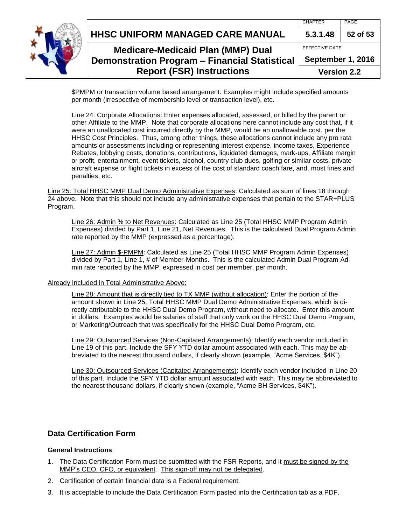|  | <b>Report (FSR) Instructions</b>              | <b>Version 2.2</b> |          |
|--|-----------------------------------------------|--------------------|----------|
|  | Demonstration Program - Financial Statistical | September 1, 2016  |          |
|  | <b>Medicare-Medicaid Plan (MMP) Dual</b>      | EFFECTIVE DATE     |          |
|  | HHSC UNIFORM MANAGED CARE MANUAL              | 5.3.1.48           | 52 of 53 |
|  |                                               | <b>CHAPTER</b>     | PAGE     |

\$PMPM or transaction volume based arrangement. Examples might include specified amounts per month (irrespective of membership level or transaction level), etc.

Line 24: Corporate Allocations: Enter expenses allocated, assessed, or billed by the parent or other Affiliate to the MMP. Note that corporate allocations here cannot include any cost that, if it were an unallocated cost incurred directly by the MMP, would be an unallowable cost, per the HHSC Cost Principles. Thus, among other things, these allocations cannot include any pro rata amounts or assessments including or representing interest expense, income taxes, Experience Rebates, lobbying costs, donations, contributions, liquidated damages, mark-ups, Affiliate margin or profit, entertainment, event tickets, alcohol, country club dues, golfing or similar costs, private aircraft expense or flight tickets in excess of the cost of standard coach fare, and, most fines and penalties, etc.

Line 25: Total HHSC MMP Dual Demo Administrative Expenses: Calculated as sum of lines 18 through 24 above. Note that this should not include any administrative expenses that pertain to the STAR+PLUS Program.

Line 26: Admin % to Net Revenues: Calculated as Line 25 (Total HHSC MMP Program Admin Expenses) divided by Part 1, Line 21, Net Revenues. This is the calculated Dual Program Admin rate reported by the MMP (expressed as a percentage).

Line 27: Admin \$-PMPM: Calculated as Line 25 (Total HHSC MMP Program Admin Expenses) divided by Part 1, Line 1, # of Member-Months. This is the calculated Admin Dual Program Admin rate reported by the MMP, expressed in cost per member, per month.

#### Already Included in Total Administrative Above:

Line 28: Amount that is directly tied to TX MMP (without allocation): Enter the portion of the amount shown in Line 25, Total HHSC MMP Dual Demo Administrative Expenses, which is directly attributable to the HHSC Dual Demo Program, without need to allocate. Enter this amount in dollars. Examples would be salaries of staff that only work on the HHSC Dual Demo Program, or Marketing/Outreach that was specifically for the HHSC Dual Demo Program, etc.

Line 29: Outsourced Services (Non-Capitated Arrangements): Identify each vendor included in Line 19 of this part. Include the SFY YTD dollar amount associated with each. This may be abbreviated to the nearest thousand dollars, if clearly shown (example, "Acme Services, \$4K").

Line 30: Outsourced Services (Capitated Arrangements): Identify each vendor included in Line 20 of this part. Include the SFY YTD dollar amount associated with each. This may be abbreviated to the nearest thousand dollars, if clearly shown (example, "Acme BH Services, \$4K").

#### <span id="page-51-0"></span>**Data Certification Form**

#### **General Instructions**:

- 1. The Data Certification Form must be submitted with the FSR Reports, and it must be signed by the MMP's CEO, CFO, or equivalent. This sign-off may not be delegated.
- 2. Certification of certain financial data is a Federal requirement.
- 3. It is acceptable to include the Data Certification Form pasted into the Certification tab as a PDF.